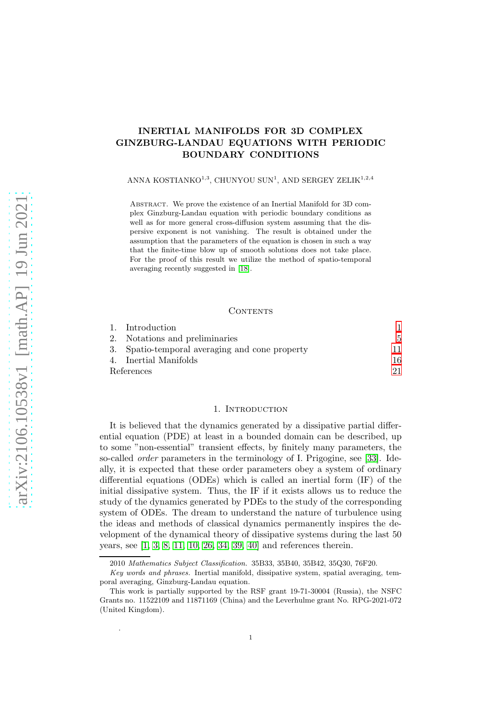# INERTIAL MANIFOLDS FOR 3D COMPLEX GINZBURG-LANDAU EQUATIONS WITH PERIODIC BOUNDARY CONDITIONS

ANNA KOSTIANKO $1,3}$  CHUNYOU SUN $^1$ , AND SERGEY ZELIK $^{1,2,4}$ 

Abstract. We prove the existence of an Inertial Manifold for 3D complex Ginzburg-Landau equation with periodic boundary conditions as well as for more general cross-diffusion system assuming that the dispersive exponent is not vanishing. The result is obtained under the assumption that the parameters of the equation is chosen in such a way that the finite-time blow up of smooth solutions does not take place. For the proof of this result we utilize the method of spatio-temporal averaging recently suggested in [\[18\]](#page-20-0).

#### CONTENTS

|            | 1. Introduction                                |    |
|------------|------------------------------------------------|----|
|            | 2. Notations and preliminaries                 | 5  |
|            | 3. Spatio-temporal averaging and cone property | 11 |
|            | 4. Inertial Manifolds                          | 16 |
| References |                                                |    |

### 1. INTRODUCTION

<span id="page-0-0"></span>It is believed that the dynamics generated by a dissipative partial differential equation (PDE) at least in a bounded domain can be described, up to some "non-essential" transient effects, by finitely many parameters, the so-called order parameters in the terminology of I. Prigogine, see [\[33\]](#page-21-0). Ideally, it is expected that these order parameters obey a system of ordinary differential equations (ODEs) which is called an inertial form (IF) of the initial dissipative system. Thus, the IF if it exists allows us to reduce the study of the dynamics generated by PDEs to the study of the corresponding system of ODEs. The dream to understand the nature of turbulence using the ideas and methods of classical dynamics permanently inspires the development of the dynamical theory of dissipative systems during the last 50 years, see [\[1,](#page-20-2) [3,](#page-20-3) [8,](#page-20-4) [11,](#page-20-5) [10,](#page-20-6) [26,](#page-21-1) [34,](#page-21-2) [39,](#page-21-3) [40\]](#page-21-4) and references therein.

.

<sup>2010</sup> Mathematics Subject Classification. 35B33, 35B40, 35B42, 35Q30, 76F20.

Key words and phrases. Inertial manifold, dissipative system, spatial averaging, temporal averaging, Ginzburg-Landau equation.

This work is partially supported by the RSF grant 19-71-30004 (Russia), the NSFC Grants no. 11522109 and 11871169 (China) and the Leverhulme grant No. RPG-2021-072 (United Kingdom).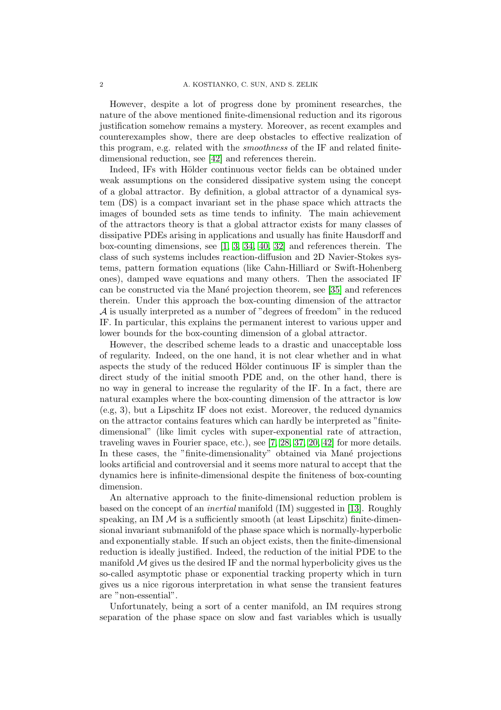However, despite a lot of progress done by prominent researches, the nature of the above mentioned finite-dimensional reduction and its rigorous justification somehow remains a mystery. Moreover, as recent examples and counterexamples show, there are deep obstacles to effective realization of this program, e.g. related with the smoothness of the IF and related finitedimensional reduction, see [\[42\]](#page-21-5) and references therein.

Indeed, IFs with Hölder continuous vector fields can be obtained under weak assumptions on the considered dissipative system using the concept of a global attractor. By definition, a global attractor of a dynamical system (DS) is a compact invariant set in the phase space which attracts the images of bounded sets as time tends to infinity. The main achievement of the attractors theory is that a global attractor exists for many classes of dissipative PDEs arising in applications and usually has finite Hausdorff and box-counting dimensions, see [\[1,](#page-20-2) [3,](#page-20-3) [34,](#page-21-2) [40,](#page-21-4) [32\]](#page-21-6) and references therein. The class of such systems includes reaction-diffusion and 2D Navier-Stokes systems, pattern formation equations (like Cahn-Hilliard or Swift-Hohenberg ones), damped wave equations and many others. Then the associated IF can be constructed via the Man´e projection theorem, see [\[35\]](#page-21-7) and references therein. Under this approach the box-counting dimension of the attractor A is usually interpreted as a number of "degrees of freedom" in the reduced IF. In particular, this explains the permanent interest to various upper and lower bounds for the box-counting dimension of a global attractor.

However, the described scheme leads to a drastic and unacceptable loss of regularity. Indeed, on the one hand, it is not clear whether and in what aspects the study of the reduced Hölder continuous IF is simpler than the direct study of the initial smooth PDE and, on the other hand, there is no way in general to increase the regularity of the IF. In a fact, there are natural examples where the box-counting dimension of the attractor is low (e.g, 3), but a Lipschitz IF does not exist. Moreover, the reduced dynamics on the attractor contains features which can hardly be interpreted as "finitedimensional" (like limit cycles with super-exponential rate of attraction, traveling waves in Fourier space, etc.), see [\[7,](#page-20-7) [28,](#page-21-8) [37,](#page-21-9) [20,](#page-20-8) [42\]](#page-21-5) for more details. In these cases, the "finite-dimensionality" obtained via Mané projections looks artificial and controversial and it seems more natural to accept that the dynamics here is infinite-dimensional despite the finiteness of box-counting dimension.

An alternative approach to the finite-dimensional reduction problem is based on the concept of an inertial manifold (IM) suggested in [\[13\]](#page-20-9). Roughly speaking, an IM  $\mathcal M$  is a sufficiently smooth (at least Lipschitz) finite-dimensional invariant submanifold of the phase space which is normally-hyperbolic and exponentially stable. If such an object exists, then the finite-dimensional reduction is ideally justified. Indeed, the reduction of the initial PDE to the manifold  $\mathcal M$  gives us the desired IF and the normal hyperbolicity gives us the so-called asymptotic phase or exponential tracking property which in turn gives us a nice rigorous interpretation in what sense the transient features are "non-essential".

Unfortunately, being a sort of a center manifold, an IM requires strong separation of the phase space on slow and fast variables which is usually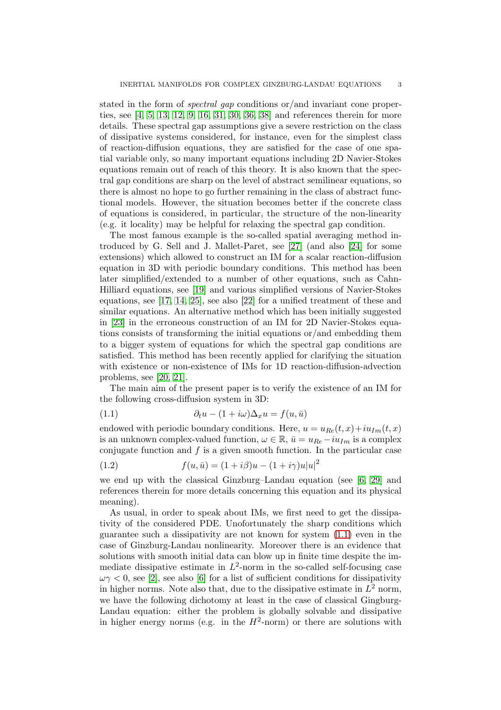stated in the form of *spectral gap* conditions or/and invariant cone properties, see [\[4,](#page-20-10) [5,](#page-20-11) [13,](#page-20-9) [12,](#page-20-12) [9,](#page-20-13) [16,](#page-20-14) [31,](#page-21-10) [30,](#page-21-11) [36,](#page-21-12) [38\]](#page-21-13) and references therein for more details. These spectral gap assumptions give a severe restriction on the class of dissipative systems considered, for instance, even for the simplest class of reaction-diffusion equations, they are satisfied for the case of one spatial variable only, so many important equations including 2D Navier-Stokes equations remain out of reach of this theory. It is also known that the spectral gap conditions are sharp on the level of abstract semilinear equations, so there is almost no hope to go further remaining in the class of abstract functional models. However, the situation becomes better if the concrete class of equations is considered, in particular, the structure of the non-linearity (e.g. it locality) may be helpful for relaxing the spectral gap condition.

The most famous example is the so-called spatial averaging method introduced by G. Sell and J. Mallet-Paret, see [\[27\]](#page-21-14) (and also [\[24\]](#page-21-15) for some extensions) which allowed to construct an IM for a scalar reaction-diffusion equation in 3D with periodic boundary conditions. This method has been later simplified/extended to a number of other equations, such as Cahn-Hilliard equations, see [\[19\]](#page-20-15) and various simplified versions of Navier-Stokes equations, see [\[17,](#page-20-16) [14,](#page-20-17) [25\]](#page-21-16), see also [\[22\]](#page-20-18) for a unified treatment of these and similar equations. An alternative method which has been initially suggested in [\[23\]](#page-20-19) in the erroneous construction of an IM for 2D Navier-Stokes equations consists of transforming the initial equations or/and embedding them to a bigger system of equations for which the spectral gap conditions are satisfied. This method has been recently applied for clarifying the situation with existence or non-existence of IMs for 1D reaction-diffusion-advection problems, see [\[20,](#page-20-8) [21\]](#page-20-20).

The main aim of the present paper is to verify the existence of an IM for the following cross-diffusion system in 3D:

<span id="page-2-0"></span>(1.1) 
$$
\partial_t u - (1 + i\omega)\Delta_x u = f(u, \bar{u})
$$

endowed with periodic boundary conditions. Here,  $u = u_{Re}(t, x) + iu_{Im}(t, x)$ is an unknown complex-valued function,  $\omega \in \mathbb{R}$ ,  $\bar{u} = u_{Re} - iu_{Im}$  is a complex conjugate function and  $f$  is a given smooth function. In the particular case

(1.2) 
$$
f(u, \bar{u}) = (1 + i\beta)u - (1 + i\gamma)u|u|^2
$$

we end up with the classical Ginzburg–Landau equation (see  $[6, 29]$  $[6, 29]$  and references therein for more details concerning this equation and its physical meaning).

As usual, in order to speak about IMs, we first need to get the dissipativity of the considered PDE. Unofortunately the sharp conditions which guarantee such a dissipativity are not known for system [\(1.1\)](#page-2-0) even in the case of Ginzburg-Landau nonlinearity. Moreover there is an evidence that solutions with smooth initial data can blow up in finite time despite the immediate dissipative estimate in  $L^2$ -norm in the so-called self-focusing case  $\omega \gamma < 0$ , see [\[2\]](#page-20-22), see also [\[6\]](#page-20-21) for a list of sufficient conditions for dissipativity in higher norms. Note also that, due to the dissipative estimate in  $L^2$  norm, we have the following dichotomy at least in the case of classical Gingburg-Landau equation: either the problem is globally solvable and dissipative in higher energy norms (e.g. in the  $H^2$ -norm) or there are solutions with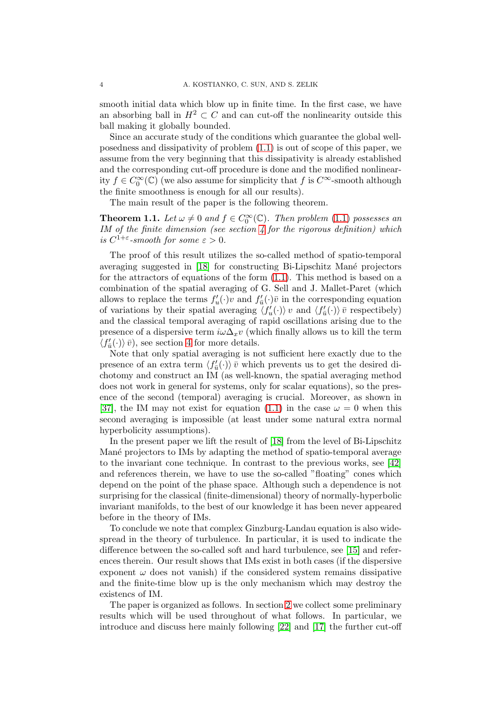smooth initial data which blow up in finite time. In the first case, we have an absorbing ball in  $H^2 \subset C$  and can cut-off the nonlinearity outside this ball making it globally bounded.

Since an accurate study of the conditions which guarantee the global wellposedness and dissipativity of problem [\(1.1\)](#page-2-0) is out of scope of this paper, we assume from the very beginning that this dissipativity is already established and the corresponding cut-off procedure is done and the modified nonlinearity  $f \in C_0^{\infty}(\mathbb{C})$  (we also assume for simplicity that f is  $C^{\infty}$ -smooth although the finite smoothness is enough for all our results).

The main result of the paper is the following theorem.

**Theorem 1.1.** Let  $\omega \neq 0$  and  $f \in C_0^{\infty}(\mathbb{C})$ . Then problem [\(1.1\)](#page-2-0) possesses an IM of the finite dimension (see section [4](#page-15-0) for the rigorous definition) which is  $C^{1+\varepsilon}$ -smooth for some  $\varepsilon > 0$ .

The proof of this result utilizes the so-called method of spatio-temporal averaging suggested in  $[18]$  for constructing Bi-Lipschitz Mané projectors for the attractors of equations of the form [\(1.1\)](#page-2-0). This method is based on a combination of the spatial averaging of G. Sell and J. Mallet-Paret (which allows to replace the terms  $f'_u(\cdot)v$  and  $f'_{\overline{u}}(\cdot)\overline{v}$  in the corresponding equation of variations by their spatial averaging  $\langle f'_u(\cdot) \rangle v$  and  $\langle f'_{\bar{u}}(\cdot) \rangle \bar{v}$  respectibely) and the classical temporal averaging of rapid oscillations arising due to the presence of a dispersive term  $i\omega\Delta_x v$  (which finally allows us to kill the term  $\langle f'_{\bar{u}}(\cdot)\rangle \bar{v}$ , see section [4](#page-15-0) for more details.

Note that only spatial averaging is not sufficient here exactly due to the presence of an extra term  $\langle f'_{\bar{u}}(\cdot)\rangle \bar{v}$  which prevents us to get the desired dichotomy and construct an IM (as well-known, the spatial averaging method does not work in general for systems, only for scalar equations), so the presence of the second (temporal) averaging is crucial. Moreover, as shown in [\[37\]](#page-21-9), the IM may not exist for equation [\(1.1\)](#page-2-0) in the case  $\omega = 0$  when this second averaging is impossible (at least under some natural extra normal hyperbolicity assumptions).

In the present paper we lift the result of [\[18\]](#page-20-0) from the level of Bi-Lipschitz Mané projectors to IMs by adapting the method of spatio-temporal average to the invariant cone technique. In contrast to the previous works, see [\[42\]](#page-21-5) and references therein, we have to use the so-called "floating" cones which depend on the point of the phase space. Although such a dependence is not surprising for the classical (finite-dimensional) theory of normally-hyperbolic invariant manifolds, to the best of our knowledge it has been never appeared before in the theory of IMs.

To conclude we note that complex Ginzburg-Landau equation is also widespread in the theory of turbulence. In particular, it is used to indicate the difference between the so-called soft and hard turbulence, see [\[15\]](#page-20-23) and references therein. Our result shows that IMs exist in both cases (if the dispersive exponent  $\omega$  does not vanish) if the considered system remains dissipative and the finite-time blow up is the only mechanism which may destroy the existencs of IM.

The paper is organized as follows. In section [2](#page-4-0) we collect some preliminary results which will be used throughout of what follows. In particular, we introduce and discuss here mainly following [\[22\]](#page-20-18) and [\[17\]](#page-20-16) the further cut-off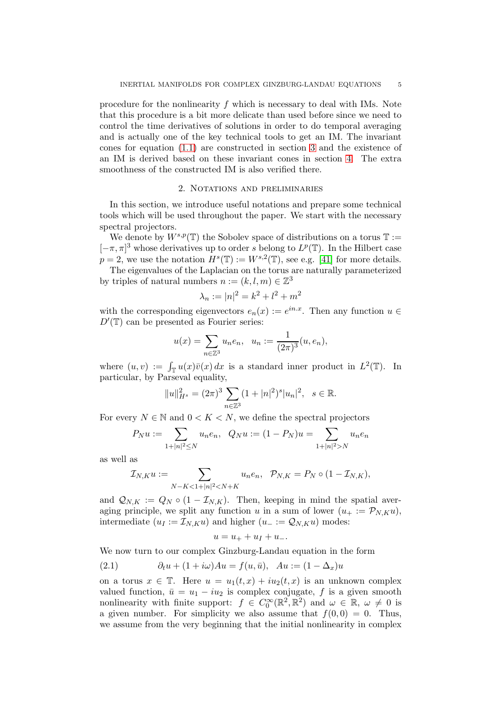procedure for the nonlinearity  $f$  which is necessary to deal with IMs. Note that this procedure is a bit more delicate than used before since we need to control the time derivatives of solutions in order to do temporal averaging and is actually one of the key technical tools to get an IM. The invariant cones for equation [\(1.1\)](#page-2-0) are constructed in section [3](#page-10-0) and the existence of an IM is derived based on these invariant cones in section [4.](#page-15-0) The extra smoothness of the constructed IM is also verified there.

#### 2. Notations and preliminaries

<span id="page-4-0"></span>In this section, we introduce useful notations and prepare some technical tools which will be used throughout the paper. We start with the necessary spectral projectors.

We denote by  $W^{s,p}(\mathbb{T})$  the Sobolev space of distributions on a torus  $\mathbb{T} :=$  $[-\pi, \pi]^3$  whose derivatives up to order s belong to  $L^p(\mathbb{T})$ . In the Hilbert case  $p = 2$ , we use the notation  $H^s(\mathbb{T}) := W^{s,2}(\mathbb{T})$ , see e.g. [\[41\]](#page-21-18) for more details.

The eigenvalues of the Laplacian on the torus are naturally parameterized by triples of natural numbers  $n := (k, l, m) \in \mathbb{Z}^3$ 

$$
\lambda_n := |n|^2 = k^2 + l^2 + m^2
$$

with the corresponding eigenvectors  $e_n(x) := e^{in.x}$ . Then any function  $u \in$  $D'(\mathbb{T})$  can be presented as Fourier series:

$$
u(x) = \sum_{n \in \mathbb{Z}^3} u_n e_n, \ \ u_n := \frac{1}{(2\pi)^3} (u, e_n),
$$

where  $(u, v) := \int_{\mathbb{T}} u(x) \overline{v}(x) dx$  is a standard inner product in  $L^2(\mathbb{T})$ . In particular, by Parseval equality,

$$
||u||_{H^{s}}^{2} = (2\pi)^{3} \sum_{n \in \mathbb{Z}^{3}} (1+|n|^{2})^{s} |u_{n}|^{2}, \quad s \in \mathbb{R}.
$$

For every  $N \in \mathbb{N}$  and  $0 \leq K \leq N$ , we define the spectral projectors

$$
P_N u := \sum_{1+|n|^2 \le N} u_n e_n, \quad Q_N u := (1 - P_N) u = \sum_{1+|n|^2 > N} u_n e_n
$$

as well as

$$
\mathcal{I}_{N,K}u:=\sum_{N-K<1+|n|^2
$$

and  $\mathcal{Q}_{N,K} := Q_N \circ (1 - \mathcal{I}_{N,K}).$  Then, keeping in mind the spatial averaging principle, we split any function u in a sum of lower  $(u_+ := \mathcal{P}_{N,K}u)$ , intermediate ( $u_I := \mathcal{I}_{N,K} u$ ) and higher ( $u_-\coloneqq \mathcal{Q}_{N,K} u$ ) modes:

$$
u = u_+ + u_I + u_-.
$$

We now turn to our complex Ginzburg-Landau equation in the form

<span id="page-4-1"></span>(2.1) 
$$
\partial_t u + (1 + i\omega)Au = f(u, \bar{u}), \quad Au := (1 - \Delta_x)u
$$

on a torus  $x \in \mathbb{T}$ . Here  $u = u_1(t, x) + i u_2(t, x)$  is an unknown complex valued function,  $\bar{u} = u_1 - i u_2$  is complex conjugate, f is a given smooth nonlinearity with finite support:  $f \in C_0^{\infty}(\mathbb{R}^2, \mathbb{R}^2)$  and  $\omega \in \mathbb{R}, \omega \neq 0$  is a given number. For simplicity we also assume that  $f(0, 0) = 0$ . Thus, we assume from the very beginning that the initial nonlinearity in complex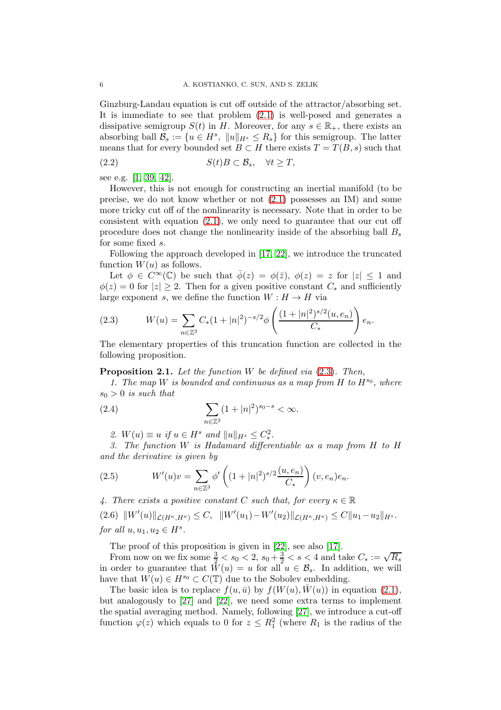Ginzburg-Landau equation is cut off outside of the attractor/absorbing set. It is immediate to see that problem [\(2.1\)](#page-4-1) is well-posed and generates a dissipative semigroup  $S(t)$  in H. Moreover, for any  $s \in \mathbb{R}_{+}$ , there exists an absorbing ball  $\mathcal{B}_s := \{u \in H^s, \|u\|_{H^s} \le R_s\}$  for this semigroup. The latter means that for every bounded set  $B \subset H$  there exists  $T = T(B, s)$  such that (2.2)  $S(t)B \subset \mathcal{B}_s, \quad \forall t > T,$ 

see e.g. [\[1,](#page-20-2) [39,](#page-21-3) [42\]](#page-21-5).

However, this is not enough for constructing an inertial manifold (to be precise, we do not know whether or not [\(2.1\)](#page-4-1) possesses an IM) and some more tricky cut off of the nonlinearity is necessary. Note that in order to be consistent with equation  $(2.1)$ , we only need to guarantee that our cut off procedure does not change the nonlinearity inside of the absorbing ball  $B_s$ for some fixed s.

Following the approach developed in [\[17,](#page-20-16) [22\]](#page-20-18), we introduce the truncated function  $W(u)$  as follows.

Let  $\phi \in C^{\infty}(\mathbb{C})$  be such that  $\overline{\phi}(z) = \phi(\overline{z}), \ \phi(z) = z$  for  $|z| \leq 1$  and  $\phi(z) = 0$  for  $|z| \geq 2$ . Then for a given positive constant  $C_*$  and sufficiently large exponent s, we define the function  $W : H \to H$  via

<span id="page-5-0"></span>(2.3) 
$$
W(u) = \sum_{n \in \mathbb{Z}^3} C_*(1+|n|^2)^{-s/2} \phi\left(\frac{(1+|n|^2)^{s/2}(u,e_n)}{C_*}\right) e_n.
$$

The elementary properties of this truncation function are collected in the following proposition.

<span id="page-5-1"></span>**Proposition 2.1.** Let the function W be defined via  $(2.3)$ . Then,

1. The map W is bounded and continuous as a map from  $H$  to  $H^{s_0}$ , where  $s_0 > 0$  is such that

(2.4) 
$$
\sum_{n \in \mathbb{Z}^3} (1+|n|^2)^{s_0-s} < \infty.
$$

2.  $W(u) \equiv u \text{ if } u \in H^s \text{ and } ||u||_{H^s} \leq C_*^2.$ 

3. The function W is Hadamard differentiable as a map from H to H and the derivative is given by

(2.5) 
$$
W'(u)v = \sum_{n \in \mathbb{Z}^3} \phi'\left((1+|n|^2)^{s/2} \frac{(u,e_n)}{C_*}\right)(v,e_n)e_n.
$$

4. There exists a positive constant C such that, for every  $\kappa \in \mathbb{R}$ 

<span id="page-5-2"></span> $(2.6)$   $||W'(u)||_{\mathcal{L}(H^{\kappa},H^{\kappa})} \leq C$ ,  $||W'(u_1) - W'(u_2)||_{\mathcal{L}(H^{\kappa},H^{\kappa})} \leq C||u_1 - u_2||_{H^s}$ . for all  $u, u_1, u_2 \in H^s$ .

The proof of this proposition is given in [\[22\]](#page-20-18), see also [\[17\]](#page-20-16).

From now on we fix some  $\frac{3}{2} < s_0 < 2$ ,  $s_0 + \frac{3}{2} < s < 4$  and take  $C_* := \sqrt{R_s}$ in order to guarantee that  $W(u) = u$  for all  $u \in \mathcal{B}_s$ . In addition, we will have that  $W(u) \in H^{s_0} \subset C(\mathbb{T})$  due to the Sobolev embedding.

The basic idea is to replace  $f(u, \bar{u})$  by  $f(W(u), \bar{W}(u))$  in equation [\(2.1\)](#page-4-1), but analogously to [\[27\]](#page-21-14) and [\[22\]](#page-20-18), we need some extra terms to implement the spatial averaging method. Namely, following [\[27\]](#page-21-14), we introduce a cut-off function  $\varphi(z)$  which equals to 0 for  $z \leq R_1^2$  (where  $R_1$  is the radius of the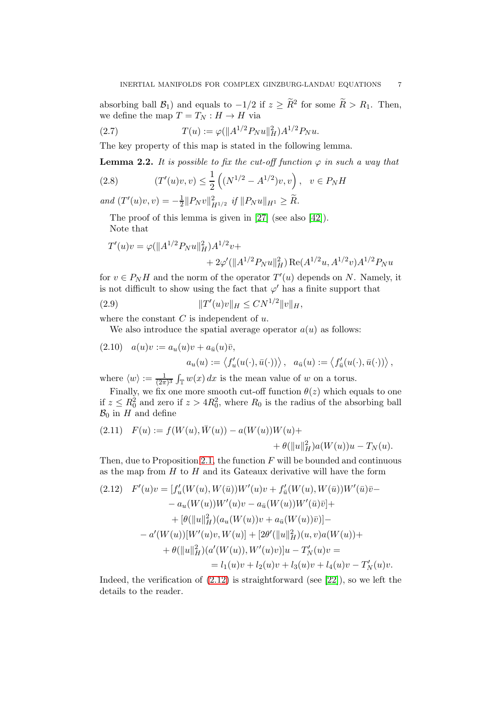absorbing ball  $\mathcal{B}_1$ ) and equals to  $-1/2$  if  $z \geq R^2$  for some  $R > R_1$ . Then, we define the map  $T = T_N : H \to H$  via

(2.7) 
$$
T(u) := \varphi(||A^{1/2}P_N u||_H^2)A^{1/2}P_N u.
$$

The key property of this map is stated in the following lemma.

<span id="page-6-2"></span>**Lemma 2.2.** It is possible to fix the cut-off function  $\varphi$  in such a way that

(2.8) 
$$
(T'(u)v, v) \le \frac{1}{2} \left( (N^{1/2} - A^{1/2})v, v \right), \quad v \in P_N H
$$

and  $(T'(u)v, v) = -\frac{1}{2}$  $\frac{1}{2}||P_N v||^2_{H^{1/2}}$  if  $||P_N u||_{H^1} \geq \tilde{R}$ .

The proof of this lemma is given in [\[27\]](#page-21-14) (see also [\[42\]](#page-21-5)). Note that

$$
T'(u)v = \varphi(||A^{1/2}P_Nu||_H^2)A^{1/2}v ++ 2\varphi'(||A^{1/2}P_Nu||_H^2) \operatorname{Re}(A^{1/2}u, A^{1/2}v)A^{1/2}P_Nu
$$

for  $v \in P_N H$  and the norm of the operator  $T'(u)$  depends on N. Namely, it is not difficult to show using the fact that  $\varphi'$  has a finite support that

(2.9) 
$$
||T'(u)v||_H \leq CN^{1/2}||v||_H,
$$

where the constant  $C$  is independent of  $u$ .

<span id="page-6-3"></span>We also introduce the spatial average operator  $a(u)$  as follows:

(2.10) 
$$
a(u)v := a_u(u)v + a_{\bar{u}}(u)\bar{v},
$$

$$
a_u(u) := \langle f'_u(u(\cdot), \bar{u}(\cdot)) \rangle, \quad a_{\bar{u}}(u) := \langle f'_{\bar{u}}(u(\cdot), \bar{u}(\cdot)) \rangle,
$$
where  $\langle w \rangle$  is the mean value of  $w$  or a terms.

where  $\langle w \rangle := \frac{1}{(2\pi)^3} \int_{\mathbb{T}} w(x) dx$  is the mean value of w on a torus.

Finally, we fix one more smooth cut-off function  $\theta(z)$  which equals to one if  $z \leq R_0^2$  and zero if  $z > 4R_0^2$ , where  $R_0$  is the radius of the absorbing ball  $\mathcal{B}_0$  in H and define

<span id="page-6-1"></span>(2.11) 
$$
F(u) := f(W(u), \overline{W}(u)) - a(W(u))W(u) + \theta(||u||_H^2)a(W(u))u - T_N(u).
$$

Then, due to Proposition [2.1,](#page-5-1) the function  $F$  will be bounded and continuous as the map from  $H$  to  $H$  and its Gateaux derivative will have the form

<span id="page-6-0"></span>
$$
(2.12) \quad F'(u)v = [f'_u(W(u), W(\bar{u}))W'(u)v + f'_{\bar{u}}(W(u), W(\bar{u}))W'(\bar{u})\bar{v} -
$$
  
\n
$$
- a_u(W(u))W'(u)v - a_{\bar{u}}(W(u))W'(\bar{u})\bar{v}] +
$$
  
\n
$$
+ [\theta(\|u\|_H^2)(a_u(W(u))v + a_{\bar{u}}(W(u))\bar{v})] -
$$
  
\n
$$
- a'(W(u))[W'(u)v, W(u)] + [2\theta'(\|u\|_H^2)(u, v)a(W(u)) +
$$
  
\n
$$
+ \theta(\|u\|_H^2)(a'(W(u)), W'(u)v)]u - T'_N(u)v =
$$
  
\n
$$
= l_1(u)v + l_2(u)v + l_3(u)v + l_4(u)v - T'_N(u)v.
$$

Indeed, the verification of  $(2.12)$  is straightforward (see [\[22\]](#page-20-18)), so we left the details to the reader.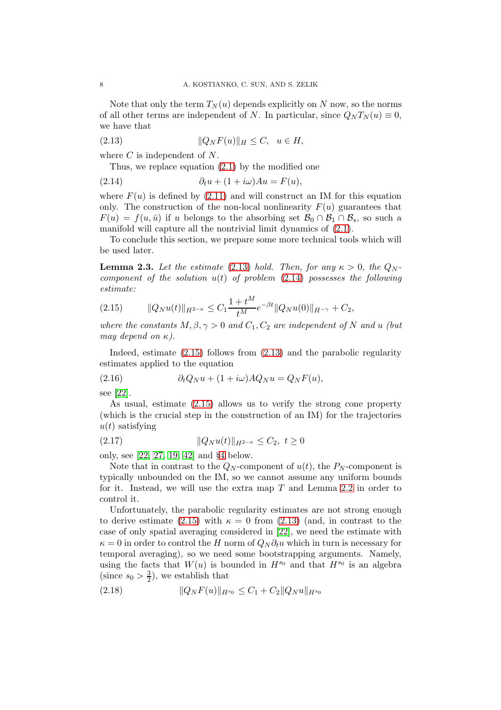Note that only the term  $T_N(u)$  depends explicitly on N now, so the norms of all other terms are independent of N. In particular, since  $Q_N T_N(u) \equiv 0$ , we have that

$$
(2.13) \t\t\t ||Q_NF(u)||_H \le C, \quad u \in H,
$$

where  $C$  is independent of  $N$ .

<span id="page-7-1"></span><span id="page-7-0"></span>Thus, we replace equation [\(2.1\)](#page-4-1) by the modified one

(2.14) 
$$
\partial_t u + (1 + i\omega)Au = F(u),
$$

where  $F(u)$  is defined by [\(2.11\)](#page-6-1) and will construct an IM for this equation only. The construction of the non-local nonlinearity  $F(u)$  guarantees that  $F(u) = f(u, \bar{u})$  if u belongs to the absorbing set  $\mathcal{B}_0 \cap \mathcal{B}_1 \cap \mathcal{B}_s$ , so such a manifold will capture all the nontrivial limit dynamics of [\(2.1\)](#page-4-1).

To conclude this section, we prepare some more technical tools which will be used later.

<span id="page-7-6"></span>**Lemma 2.3.** Let the estimate [\(2.13\)](#page-7-0) hold. Then, for any  $\kappa > 0$ , the  $Q_N$ component of the solution  $u(t)$  of problem  $(2.14)$  possesses the following estimate:

<span id="page-7-2"></span>
$$
(2.15) \t\t ||Q_N u(t)||_{H^{2-\kappa}} \leq C_1 \frac{1+t^M}{t^M} e^{-\beta t} ||Q_N u(0)||_{H^{-\gamma}} + C_2,
$$

where the constants  $M, \beta, \gamma > 0$  and  $C_1, C_2$  are independent of N and u (but may depend on  $\kappa$ ).

Indeed, estimate [\(2.15\)](#page-7-2) follows from [\(2.13\)](#page-7-0) and the parabolic regularity estimates applied to the equation

<span id="page-7-4"></span>(2.16) 
$$
\partial_t Q_N u + (1 + i\omega) A Q_N u = Q_N F(u),
$$

see [\[22\]](#page-20-18).

As usual, estimate [\(2.15\)](#page-7-2) allows us to verify the strong cone property (which is the crucial step in the construction of an IM) for the trajectories  $u(t)$  satisfying

<span id="page-7-5"></span>(2.17) 
$$
||Q_N u(t)||_{H^{2-\kappa}} \leq C_2, \ t \geq 0
$$

only, see [\[22,](#page-20-18) [27,](#page-21-14) [19,](#page-20-15) [42\]](#page-21-5) and §[4](#page-15-0) below.

Note that in contrast to the  $Q_N$ -component of  $u(t)$ , the  $P_N$ -component is typically unbounded on the IM, so we cannot assume any uniform bounds for it. Instead, we will use the extra map  $T$  and Lemma [2.2](#page-6-2) in order to control it.

Unfortunately, the parabolic regularity estimates are not strong enough to derive estimate [\(2.15\)](#page-7-2) with  $\kappa = 0$  from [\(2.13\)](#page-7-0) (and, in contrast to the case of only spatial averaging considered in [\[22\]](#page-20-18), we need the estimate with  $\kappa = 0$  in order to control the H norm of  $Q_N \partial_t u$  which in turn is necessary for temporal averaging), so we need some bootstrapping arguments. Namely, using the facts that  $W(u)$  is bounded in  $H^{s_0}$  and that  $H^{s_0}$  is an algebra (since  $s_0 > \frac{3}{2}$  $(\frac{3}{2})$ , we establish that

<span id="page-7-3"></span>
$$
(2.18) \t\t ||Q_NF(u)||_{H^{s_0}} \leq C_1 + C_2 ||Q_Nu||_{H^{s_0}}
$$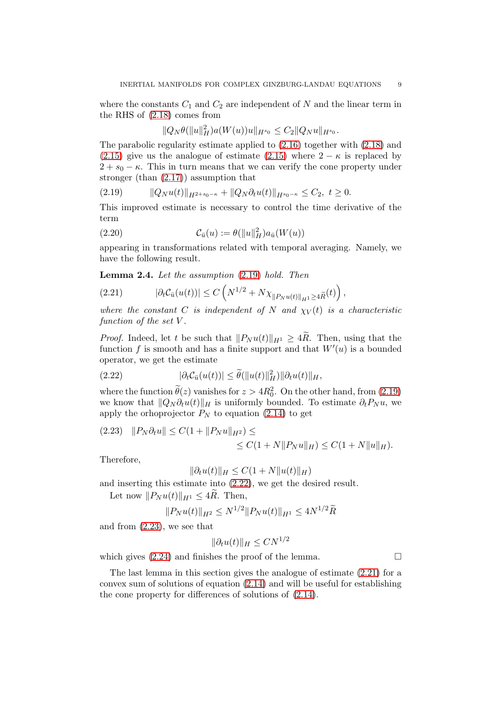where the constants  $C_1$  and  $C_2$  are independent of N and the linear term in the RHS of [\(2.18\)](#page-7-3) comes from

$$
||Q_N\theta(||u||_H^2)a(W(u))u||_{H^{s_0}} \leq C_2||Q_Nu||_{H^{s_0}}.
$$

The parabolic regularity estimate applied to [\(2.16\)](#page-7-4) together with [\(2.18\)](#page-7-3) and [\(2.15\)](#page-7-2) give us the analogue of estimate [\(2.15\)](#page-7-2) where  $2 - \kappa$  is replaced by  $2 + s_0 - \kappa$ . This in turn means that we can verify the cone property under stronger (than [\(2.17\)](#page-7-5)) assumption that

<span id="page-8-0"></span>
$$
(2.19) \t\t ||Q_Nu(t)||_{H^{2+s_0-\kappa}} + ||Q_N\partial_t u(t)||_{H^{s_0-\kappa}} \leq C_2, \ t \geq 0.
$$

This improved estimate is necessary to control the time derivative of the term

<span id="page-8-5"></span>(2.20) 
$$
\mathcal{C}_{\bar{u}}(u) := \theta(||u||_H^2) a_{\bar{u}}(W(u))
$$

appearing in transformations related with temporal averaging. Namely, we have the following result.

<span id="page-8-4"></span>Lemma 2.4. Let the assumption [\(2.19\)](#page-8-0) hold. Then

<span id="page-8-3"></span>(2.21) 
$$
|\partial_t \mathcal{C}_{\bar{u}}(u(t))| \leq C \left( N^{1/2} + N \chi_{\|P_N u(t)\|_{H^1} \geq 4 \widetilde{R}}(t) \right),
$$

where the constant C is independent of N and  $\chi_V(t)$  is a characteristic function of the set V.

*Proof.* Indeed, let t be such that  $||P_N u(t)||_{H^1} \geq 4R$ . Then, using that the function f is smooth and has a finite support and that  $W'(u)$  is a bounded operator, we get the estimate

<span id="page-8-1"></span>(2.22) 
$$
|\partial_t \mathcal{C}_{\bar{u}}(u(t))| \leq \widetilde{\theta}(\|u(t)\|_H^2) \|\partial_t u(t)\|_H,
$$

where the function  $\theta(z)$  vanishes for  $z > 4R_0^2$ . On the other hand, from [\(2.19\)](#page-8-0) we know that  $||Q_N \partial_t u(t)||_H$  is uniformly bounded. To estimate  $\partial_t P_N u$ , we apply the orhoprojector  $P_N$  to equation [\(2.14\)](#page-7-1) to get

<span id="page-8-2"></span>
$$
(2.23) \quad ||P_N \partial_t u|| \le C(1 + ||P_N u||_{H^2}) \le
$$
  
 
$$
\le C(1 + N ||P_N u||_H) \le C(1 + N ||u||_H).
$$

Therefore,

$$
\|\partial_t u(t)\|_H \le C(1+N\|u(t)\|_H)
$$

and inserting this estimate into [\(2.22\)](#page-8-1), we get the desired result.

Let now  $||P_N u(t)||_{H^1} \leq 4\tilde{R}$ . Then,

$$
||P_N u(t)||_{H^2} \le N^{1/2} ||P_N u(t)||_{H^1} \le 4N^{1/2}\widetilde{R}
$$

and from [\(2.23\)](#page-8-2), we see that

$$
\|\partial_t u(t)\|_H \leq C N^{1/2}
$$

which gives  $(2.24)$  and finishes the proof of the lemma.

The last lemma in this section gives the analogue of estimate [\(2.21\)](#page-8-3) for a convex sum of solutions of equation [\(2.14\)](#page-7-1) and will be useful for establishing the cone property for differences of solutions of [\(2.14\)](#page-7-1).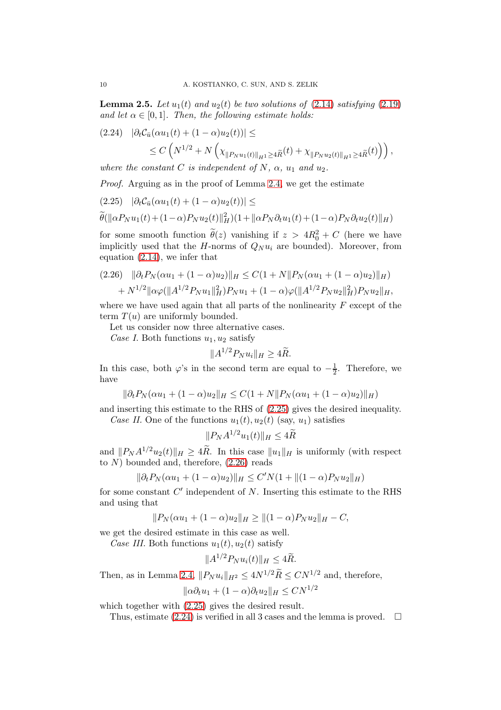<span id="page-9-3"></span>**Lemma 2.5.** Let  $u_1(t)$  and  $u_2(t)$  be two solutions of [\(2.14\)](#page-7-1) satisfying [\(2.19\)](#page-8-0) and let  $\alpha \in [0, 1]$ . Then, the following estimate holds:

<span id="page-9-0"></span>
$$
(2.24) \quad |\partial_t C_{\bar{u}}(\alpha u_1(t) + (1 - \alpha)u_2(t))| \le
$$
  
 
$$
\le C \left( N^{1/2} + N \left( \chi_{\|P_N u_1(t)\|_{H^1} \ge 4\tilde{R}}(t) + \chi_{\|P_N u_2(t)\|_{H^1} \ge 4\tilde{R}}(t) \right) \right),
$$

where the constant C is independent of N,  $\alpha$ ,  $u_1$  and  $u_2$ .

Proof. Arguing as in the proof of Lemma [2.4,](#page-8-4) we get the estimate

<span id="page-9-1"></span>
$$
(2.25) \quad |\partial_t \mathcal{C}_{\bar{u}}(\alpha u_1(t) + (1 - \alpha)u_2(t))| \leq
$$

$$
\widetilde{\theta}(\|\alpha P_N u_1(t) + (1-\alpha)P_N u_2(t)\|_H^2)(1 + \|\alpha P_N \partial_t u_1(t) + (1-\alpha)P_N \partial_t u_2(t)\|_H)
$$

for some smooth function  $\theta(z)$  vanishing if  $z > 4R_0^2 + C$  (here we have implicitly used that the  $H$ -norms of  $Q_N u_i$  are bounded). Moreover, from equation [\(2.14\)](#page-7-1), we infer that

<span id="page-9-2"></span>
$$
(2.26) \quad \|\partial_t P_N(\alpha u_1 + (1 - \alpha)u_2)\|_H \le C(1 + N \|P_N(\alpha u_1 + (1 - \alpha)u_2)\|_H)
$$
  
+  $N^{1/2} \|\alpha \varphi(\|A^{1/2} P_N u_1\|_H^2) P_N u_1 + (1 - \alpha) \varphi(\|A^{1/2} P_N u_2\|_H^2) P_N u_2\|_H,$ 

where we have used again that all parts of the nonlinearity  $F$  except of the term  $T(u)$  are uniformly bounded.

Let us consider now three alternative cases.

Case I. Both functions  $u_1, u_2$  satisfy

$$
||A^{1/2}P_N u_i||_H \geq 4\widetilde{R}.
$$

In this case, both  $\varphi$ 's in the second term are equal to  $-\frac{1}{2}$ . Therefore, we have

$$
\|\partial_t P_N(\alpha u_1 + (1 - \alpha)u_2\|_H \le C(1 + N \|P_N(\alpha u_1 + (1 - \alpha)u_2)\|_H)
$$

and inserting this estimate to the RHS of [\(2.25\)](#page-9-1) gives the desired inequality. Case II. One of the functions  $u_1(t)$ ,  $u_2(t)$  (say,  $u_1$ ) satisfies

$$
||P_N A^{1/2} u_1(t)||_H \le 4\widetilde{R}
$$

and  $||P_N A^{1/2}u_2(t)||_H \geq 4R$ . In this case  $||u_1||_H$  is uniformly (with respect to  $N$ ) bounded and, therefore,  $(2.26)$  reads

$$
\|\partial_t P_N(\alpha u_1 + (1 - \alpha)u_2)\|_H \le C'N(1 + \|(1 - \alpha)P_N u_2\|_H)
$$

for some constant  $C'$  independent of  $N$ . Inserting this estimate to the RHS and using that

$$
||P_N(\alpha u_1 + (1 - \alpha)u_2||_H \ge ||(1 - \alpha)P_N u_2||_H - C,
$$

we get the desired estimate in this case as well.

Case III. Both functions  $u_1(t)$ ,  $u_2(t)$  satisfy

$$
||A^{1/2}P_N u_i(t)||_H \le 4\widetilde{R}.
$$

Then, as in Lemma [2.4,](#page-8-4)  $||P_N u_i||_{H^2} \leq 4N^{1/2}\widetilde{R} \leq CN^{1/2}$  and, therefore,

$$
\|\alpha \partial_t u_1 + (1 - \alpha)\partial_t u_2\|_H \leq C N^{1/2}
$$

which together with [\(2.25\)](#page-9-1) gives the desired result.

Thus, estimate [\(2.24\)](#page-9-0) is verified in all 3 cases and the lemma is proved.  $\Box$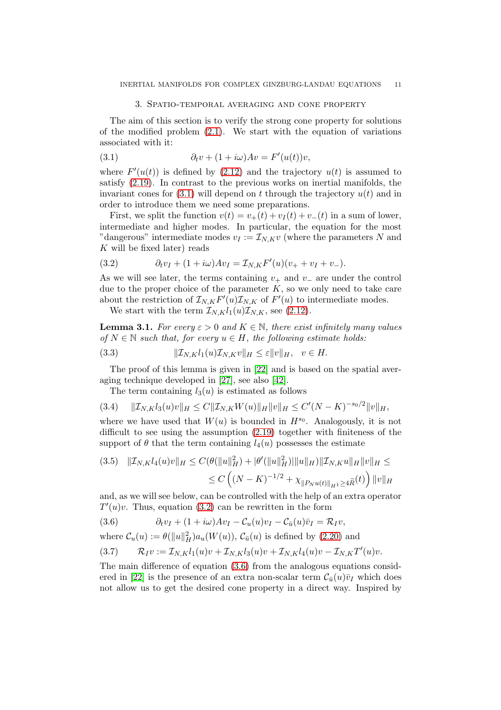#### <span id="page-10-1"></span>3. Spatio-temporal averaging and cone property

<span id="page-10-0"></span>The aim of this section is to verify the strong cone property for solutions of the modified problem  $(2.1)$ . We start with the equation of variations associated with it:

(3.1) 
$$
\partial_t v + (1 + i\omega)Av = F'(u(t))v,
$$

where  $F'(u(t))$  is defined by [\(2.12\)](#page-6-0) and the trajectory  $u(t)$  is assumed to satisfy [\(2.19\)](#page-8-0). In contrast to the previous works on inertial manifolds, the invariant cones for  $(3.1)$  will depend on t through the trajectory  $u(t)$  and in order to introduce them we need some preparations.

First, we split the function  $v(t) = v_+(t) + v_1(t) + v_-(t)$  in a sum of lower, intermediate and higher modes. In particular, the equation for the most "dangerous" intermediate modes  $v_I := \mathcal{I}_{N,K}v$  (where the parameters N and K will be fixed later) reads

<span id="page-10-2"></span>(3.2) 
$$
\partial_t v_I + (1 + i\omega)Av_I = \mathcal{I}_{N,K}F'(u)(v_+ + v_I + v_-).
$$

As we will see later, the terms containing  $v_{+}$  and  $v_{-}$  are under the control due to the proper choice of the parameter  $K$ , so we only need to take care about the restriction of  $\mathcal{I}_{N,K}F'(u)\mathcal{I}_{N,K}$  of  $F'(u)$  to intermediate modes.

We start with the term  $\mathcal{I}_{N,K}l_1(u)\mathcal{I}_{N,K}$ , see [\(2.12\)](#page-6-0).

**Lemma 3.1.** For every  $\varepsilon > 0$  and  $K \in \mathbb{N}$ , there exist infinitely many values of  $N \in \mathbb{N}$  such that, for every  $u \in H$ , the following estimate holds:

<span id="page-10-6"></span>
$$
(3.3) \t\t\t ||\mathcal{I}_{N,K}l_1(u)\mathcal{I}_{N,K}v||_H \leq \varepsilon ||v||_H, \quad v \in H.
$$

The proof of this lemma is given in [\[22\]](#page-20-18) and is based on the spatial averaging technique developed in [\[27\]](#page-21-14), see also [\[42\]](#page-21-5).

<span id="page-10-4"></span>The term containing  $l_3(u)$  is estimated as follows

$$
(3.4) \t\t ||\mathcal{I}_{N,K}l_3(u)v||_H \leq C||\mathcal{I}_{N,K}W(u)||_H||v||_H \leq C'(N-K)^{-s_0/2}||v||_H,
$$

where we have used that  $W(u)$  is bounded in  $H^{s_0}$ . Analogously, it is not difficult to see using the assumption [\(2.19\)](#page-8-0) together with finiteness of the support of  $\theta$  that the term containing  $l_4(u)$  possesses the estimate

<span id="page-10-5"></span>
$$
(3.5) \quad \|\mathcal{I}_{N,K}l_4(u)v\|_{H} \le C(\theta(\|u\|_{H}^2) + |\theta'(\|u\|_{H}^2)\|\|u\|_{H})\|\mathcal{I}_{N,K}u\|_{H}\|v\|_{H} \le
$$
  

$$
\le C\left((N-K)^{-1/2} + \chi_{\|P_Nu(t)\|_{H}^1 \ge 4\widetilde{R}}(t)\right)\|v\|_{H}
$$

and, as we will see below, can be controlled with the help of an extra operator  $T'(u)v$ . Thus, equation [\(3.2\)](#page-10-2) can be rewritten in the form

<span id="page-10-3"></span>(3.6) 
$$
\partial_t v_I + (1 + i\omega)Av_I - \mathcal{C}_u(u)v_I - \mathcal{C}_{\bar{u}}(u)\bar{v}_I = \mathcal{R}_I v,
$$

where  $\mathcal{C}_u(u) := \theta(||u||_H^2) a_u(W(u)), \mathcal{C}_{\bar{u}}(u)$  is defined by [\(2.20\)](#page-8-5) and

$$
(3.7) \qquad \mathcal{R}_I v := \mathcal{I}_{N,K} l_1(u) v + \mathcal{I}_{N,K} l_3(u) v + \mathcal{I}_{N,K} l_4(u) v - \mathcal{I}_{N,K} T'(u) v.
$$

The main difference of equation [\(3.6\)](#page-10-3) from the analogous equations consid-ered in [\[22\]](#page-20-18) is the presence of an extra non-scalar term  $\mathcal{C}_{\bar{u}}(u)\bar{v}_I$  which does not allow us to get the desired cone property in a direct way. Inspired by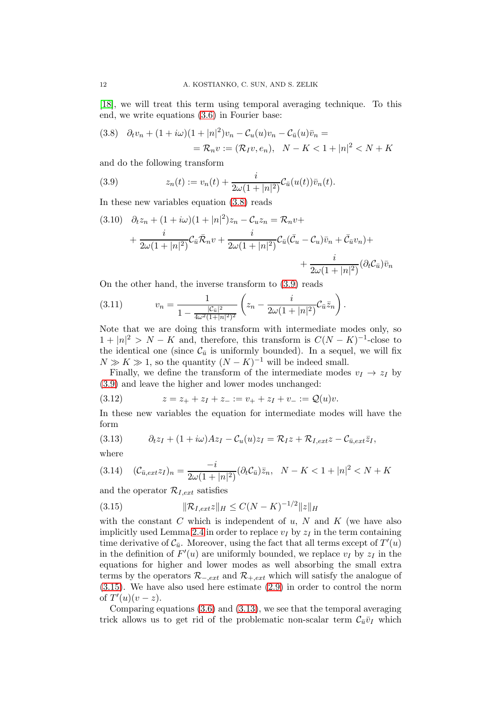[\[18\]](#page-20-0), we will treat this term using temporal averaging technique. To this end, we write equations [\(3.6\)](#page-10-3) in Fourier base:

<span id="page-11-0"></span>(3.8) 
$$
\partial_t v_n + (1 + i\omega)(1 + |n|^2)v_n - C_u(u)v_n - C_{\bar{u}}(u)\bar{v}_n =
$$

$$
= \mathcal{R}_n v := (\mathcal{R}_I v, e_n), \quad N - K < 1 + |n|^2 < N + K
$$

and do the following transform

<span id="page-11-1"></span>(3.9) 
$$
z_n(t) := v_n(t) + \frac{i}{2\omega(1+|n|^2)} \mathcal{C}_{\bar{u}}(u(t)) \bar{v}_n(t).
$$

In these new variables equation [\(3.8\)](#page-11-0) reads

$$
(3.10) \quad \partial_t z_n + (1 + i\omega)(1 + |n|^2)z_n - C_u z_n = \mathcal{R}_n v + + \frac{i}{2\omega(1 + |n|^2)} C_{\bar{u}} \bar{\mathcal{R}}_n v + \frac{i}{2\omega(1 + |n|^2)} C_{\bar{u}} (\bar{\mathcal{C}}_u - C_u) \bar{v}_n + \bar{\mathcal{C}}_{\bar{u}} v_n) + + \frac{i}{2\omega(1 + |n|^2)} (\partial_t C_{\bar{u}}) \bar{v}_n
$$

On the other hand, the inverse transform to [\(3.9\)](#page-11-1) reads

(3.11) 
$$
v_n = \frac{1}{1 - \frac{|\mathcal{C}_{\bar{u}}|^2}{4\omega^2(1+|n|^2)^2}} \left(z_n - \frac{i}{2\omega(1+|n|^2)} \mathcal{C}_{\bar{u}} \bar{z}_n\right).
$$

Note that we are doing this transform with intermediate modes only, so  $1 + |n|^2 > N - K$  and, therefore, this transform is  $C(N - K)^{-1}$ -close to the identical one (since  $\mathcal{C}_{\bar{u}}$  is uniformly bounded). In a sequel, we will fix  $N \gg K \gg 1$ , so the quantity  $(N - K)^{-1}$  will be indeed small.

Finally, we define the transform of the intermediate modes  $v_I \rightarrow z_I$  by [\(3.9\)](#page-11-1) and leave the higher and lower modes unchanged:

<span id="page-11-4"></span>(3.12) 
$$
z = z_+ + z_I + z_- := v_+ + z_I + v_- := \mathcal{Q}(u)v.
$$

In these new variables the equation for intermediate modes will have the form

<span id="page-11-3"></span>(3.13) 
$$
\partial_t z_I + (1 + i\omega)Az_I - C_u(u)z_I = \mathcal{R}_I z + \mathcal{R}_{I,ext} z - C_{\bar{u},ext}\bar{z}_I,
$$

where

$$
(3.14) \quad (\mathcal{C}_{\bar{u},ext}z_I)_n = \frac{-i}{2\omega(1+|n|^2)} (\partial_t \mathcal{C}_{\bar{u}}) \bar{z}_n, \quad N - K < 1 + |n|^2 < N + K
$$

and the operator  $\mathcal{R}_{I,ext}$  satisfies

<span id="page-11-2"></span>(3.15) 
$$
\|\mathcal{R}_{I,ext}z\|_H \le C(N-K)^{-1/2} \|z\|_H
$$

with the constant  $C$  which is independent of  $u$ ,  $N$  and  $K$  (we have also implicitly used Lemma [2.4](#page-8-4) in order to replace  $v_I$  by  $z_I$  in the term containing time derivative of  $\mathcal{C}_{\bar{u}}$ . Moreover, using the fact that all terms except of  $T'(u)$ in the definition of  $F'(u)$  are uniformly bounded, we replace  $v_I$  by  $z_I$  in the equations for higher and lower modes as well absorbing the small extra terms by the operators  $\mathcal{R}_{-,ext}$  and  $\mathcal{R}_{+,ext}$  which will satisfy the analogue of [\(3.15\)](#page-11-2). We have also used here estimate [\(2.9\)](#page-6-3) in order to control the norm of  $T'(u)(v-z)$ .

Comparing equations [\(3.6\)](#page-10-3) and [\(3.13\)](#page-11-3), we see that the temporal averaging trick allows us to get rid of the problematic non-scalar term  $\mathcal{C}_{\bar{u}}\bar{v}_I$  which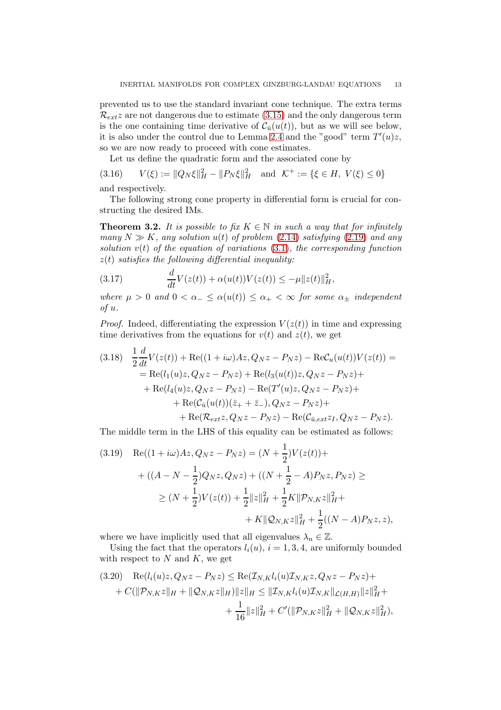prevented us to use the standard invariant cone technique. The extra terms  $\mathcal{R}_{ext}z$  are not dangerous due to estimate [\(3.15\)](#page-11-2) and the only dangerous term is the one containing time derivative of  $\mathcal{C}_{\bar{u}}(u(t))$ , but as we will see below, it is also under the control due to Lemma [2.4](#page-8-4) and the "good" term  $T'(u)z$ , so we are now ready to proceed with cone estimates.

<span id="page-12-3"></span>Let us define the quadratic form and the associated cone by

(3.16)  $V(\xi) := ||Q_N \xi||_H^2 - ||P_N \xi||_H^2$  and  $\mathcal{K}^+ := {\{\xi \in H, V(\xi) \le 0\}}$ 

and respectively.

The following strong cone property in differential form is crucial for constructing the desired IMs.

<span id="page-12-2"></span>**Theorem 3.2.** It is possible to fix  $K \in \mathbb{N}$  in such a way that for infinitely many  $N \gg K$ , any solution  $u(t)$  of problem [\(2.14\)](#page-7-1) satisfying [\(2.19\)](#page-8-0) and any solution  $v(t)$  of the equation of variations  $(3.1)$ , the corresponding function  $z(t)$  satisfies the following differential inequality:

<span id="page-12-1"></span>(3.17) 
$$
\frac{d}{dt}V(z(t)) + \alpha(u(t))V(z(t)) \leq -\mu ||z(t)||_H^2,
$$

where  $\mu > 0$  and  $0 < \alpha_{-} \leq \alpha(u(t)) \leq \alpha_{+} < \infty$  for some  $\alpha_{+}$  independent of u.

*Proof.* Indeed, differentiating the expression  $V(z(t))$  in time and expressing time derivatives from the equations for  $v(t)$  and  $z(t)$ , we get

<span id="page-12-0"></span>
$$
(3.18) \frac{1}{2} \frac{d}{dt} V(z(t)) + \text{Re}((1 + i\omega)Az, Q_N z - P_N z) - \text{Re}C_u(u(t))V(z(t)) =
$$
  
\n
$$
= \text{Re}(l_1(u)z, Q_N z - P_N z) + \text{Re}(l_3(u(t))z, Q_N z - P_N z) +
$$
  
\n
$$
+ \text{Re}(l_4(u)z, Q_N z - P_N z) - \text{Re}(T'(u)z, Q_N z - P_N z) +
$$
  
\n
$$
+ \text{Re}(C_{\bar{u}}(u(t))(\bar{z}_+ + \bar{z}_-), Q_N z - P_N z) +
$$
  
\n
$$
+ \text{Re}(R_{ext} z, Q_N z - P_N z) - \text{Re}(C_{\bar{u},ext} z_I, Q_N z - P_N z).
$$

The middle term in the LHS of this equality can be estimated as follows:

$$
(3.19) \quad \text{Re}((1+i\omega)Az, Q_N z - P_N z) = (N + \frac{1}{2})V(z(t)) +
$$
\n
$$
+ ((A - N - \frac{1}{2})Q_N z, Q_N z) + ((N + \frac{1}{2} - A)P_N z, P_N z) \ge
$$
\n
$$
\ge (N + \frac{1}{2})V(z(t)) + \frac{1}{2}||z||_H^2 + \frac{1}{2}K||P_{N,K} z||_H^2 +
$$
\n
$$
+ K||Q_{N,K} z||_H^2 + \frac{1}{2}((N - A)P_N z, z),
$$

where we have implicitly used that all eigenvalues  $\lambda_n \in \mathbb{Z}$ .

Using the fact that the operators  $l_i(u)$ ,  $i = 1, 3, 4$ , are uniformly bounded with respect to  $N$  and  $K$ , we get

$$
(3.20) \quad \text{Re}(l_i(u)z, Q_N z - P_N z) \le \text{Re}(\mathcal{I}_{N,K}l_i(u)\mathcal{I}_{N,K}z, Q_N z - P_N z) +
$$
  
+  $C(\|\mathcal{P}_{N,K}z\|_H + \|\mathcal{Q}_{N,K}z\|_H)\|z\|_H \le \|\mathcal{I}_{N,K}l_i(u)\mathcal{I}_{N,K}\|_{\mathcal{L}(H,H)}\|z\|_H^2 +$   
+  $\frac{1}{16}\|z\|_H^2 + C'(\|\mathcal{P}_{N,K}z\|_H^2 + \|\mathcal{Q}_{N,K}z\|_H^2),$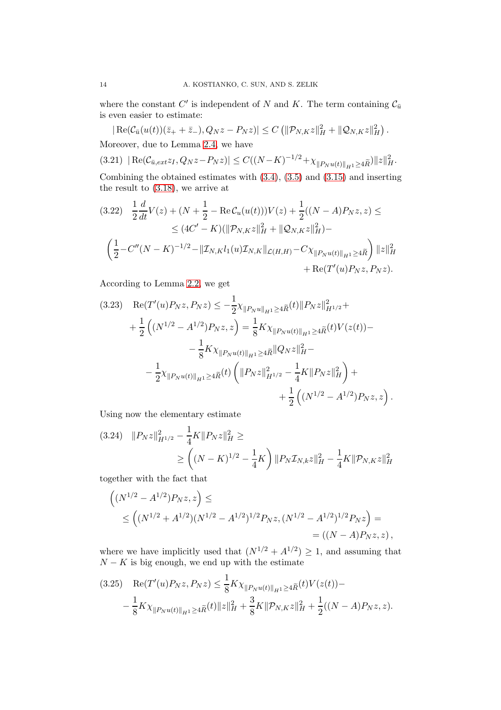where the constant C' is independent of N and K. The term containing  $\mathcal{C}_{\bar{u}}$ is even easier to estimate:

 $|\operatorname{Re}(\mathcal{C}_{\bar{u}}(u(t))(\bar{z}_{+}+\bar{z}_{-}), Q_N z - P_N z)| \leq C \left( \|\mathcal{P}_{N,K} z\|_{H}^2 + \|\mathcal{Q}_{N,K} z\|_{H}^2 \right).$ Moreover, due to Lemma [2.4,](#page-8-4) we have

<span id="page-13-1"></span>
$$
(3.21) \left| \operatorname{Re}(\mathcal{C}_{\bar{u},ext}z_I, Q_N z - P_N z) \right| \le C((N - K)^{-1/2} + \chi_{\|P_N u(t)\|_{H^1} \ge 4\widetilde{R}}) \|z\|_{H}^2.
$$

Combining the obtained estimates with [\(3.4\)](#page-10-4), [\(3.5\)](#page-10-5) and [\(3.15\)](#page-11-2) and inserting the result to [\(3.18\)](#page-12-0), we arrive at

<span id="page-13-0"></span>
$$
(3.22) \quad \frac{1}{2} \frac{d}{dt} V(z) + (N + \frac{1}{2} - \text{Re} \mathcal{C}_u(u(t))) V(z) + \frac{1}{2} ((N - A) P_N z, z) \le
$$
  
\n
$$
\leq (4C' - K) (\|\mathcal{P}_{N,K} z\|_H^2 + \|\mathcal{Q}_{N,K} z\|_H^2) -
$$
  
\n
$$
\left(\frac{1}{2} - C''(N - K)^{-1/2} - \|\mathcal{I}_{N,K} l_1(u)\mathcal{I}_{N,K}\|_{\mathcal{L}(H,H)} - C\chi_{\|P_N u(t)\|_{H^1} \geq 4\widetilde{R}}\right) \|z\|_H^2
$$
  
\n
$$
+ \text{Re}(T'(u) P_N z, P_N z).
$$

According to Lemma [2.2,](#page-6-2) we get

<span id="page-13-2"></span>
$$
(3.23) \quad \text{Re}(T'(u)P_Nz, P_Nz) \le -\frac{1}{2}\chi_{\|P_Nu\|_{H^1} \ge 4\widetilde{R}}(t)\|P_Nz\|_{H^{1/2}}^2 +
$$
\n
$$
+\frac{1}{2}\left((N^{1/2} - A^{1/2})P_Nz, z\right) = \frac{1}{8}K\chi_{\|P_Nu(t)\|_{H^1} \ge 4\widetilde{R}}(t)V(z(t)) -
$$
\n
$$
-\frac{1}{8}K\chi_{\|P_Nu(t)\|_{H^1} \ge 4\widetilde{R}}\|Q_Nz\|_{H}^2 -
$$
\n
$$
-\frac{1}{2}\chi_{\|P_Nu(t)\|_{H^1} \ge 4\widetilde{R}}(t)\left(\|P_Nz\|_{H^{1/2}}^2 - \frac{1}{4}K\|P_Nz\|_{H}^2\right) +
$$
\n
$$
+\frac{1}{2}\left((N^{1/2} - A^{1/2})P_Nz, z\right).
$$

Using now the elementary estimate

$$
(3.24) \quad ||P_N z||_{H^{1/2}}^2 - \frac{1}{4} K ||P_N z||_H^2 \ge
$$
  
 
$$
\ge \left( (N - K)^{1/2} - \frac{1}{4} K \right) ||P_N \mathcal{I}_{N,k} z||_H^2 - \frac{1}{4} K ||P_{N,K} z||_H^2
$$

together with the fact that

$$
\left((N^{1/2} - A^{1/2})P_N z, z\right) \le
$$
  
 
$$
\le \left((N^{1/2} + A^{1/2})(N^{1/2} - A^{1/2})^{1/2}P_N z, (N^{1/2} - A^{1/2})^{1/2}P_N z\right) =
$$
  
 
$$
= ((N - A)P_N z, z),
$$

where we have implicitly used that  $(N^{1/2} + A^{1/2}) \ge 1$ , and assuming that  $N - K$  is big enough, we end up with the estimate

$$
(3.25) \quad \text{Re}(T'(u)P_Nz, P_Nz) \leq \frac{1}{8}K\chi_{\|P_Nu(t)\|_{H^1} \geq 4\widetilde{R}}(t)V(z(t)) - \frac{1}{8}K\chi_{\|P_Nu(t)\|_{H^1} \geq 4\widetilde{R}}(t)\|z\|_H^2 + \frac{3}{8}K\|\mathcal{P}_{N,K}z\|_H^2 + \frac{1}{2}((N-A)P_Nz,z).
$$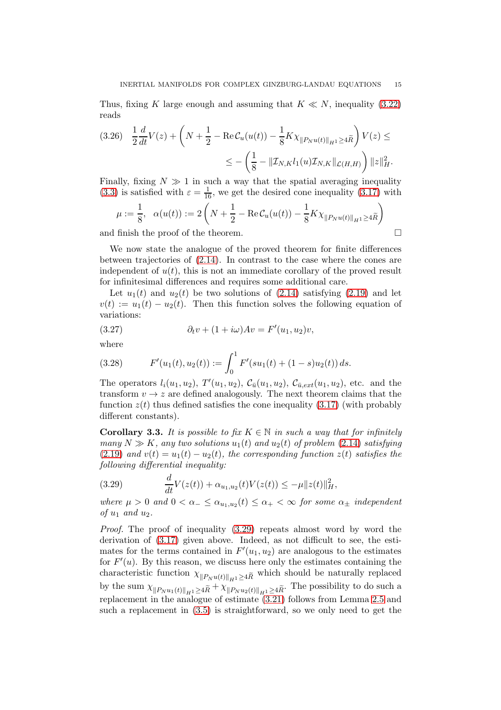Thus, fixing K large enough and assuming that  $K \ll N$ , inequality [\(3.22\)](#page-13-0) reads

$$
(3.26) \quad \frac{1}{2}\frac{d}{dt}V(z) + \left(N + \frac{1}{2} - \text{Re}\,\mathcal{C}_u(u(t)) - \frac{1}{8}K\chi_{\|P_Nu(t)\|_{H^1} \ge 4\widetilde{R}}\right)V(z) \le
$$
  

$$
\le -\left(\frac{1}{8} - \|\mathcal{I}_{N,K}l_1(u)\mathcal{I}_{N,K}\|_{\mathcal{L}(H,H)}\right) \|z\|_{H}^2.
$$

Finally, fixing  $N \gg 1$  in such a way that the spatial averaging inequality [\(3.3\)](#page-10-6) is satisfied with  $\varepsilon = \frac{1}{16}$ , we get the desired cone inequality [\(3.17\)](#page-12-1) with

$$
\mu := \frac{1}{8}, \quad \alpha(u(t)) := 2\left(N + \frac{1}{2} - \text{Re}\,\mathcal{C}_u(u(t)) - \frac{1}{8}K\chi_{\|P_N u(t)\|_{H^1} \ge 4\widetilde{R}}\right)
$$

and finish the proof of the theorem.  $\Box$ 

We now state the analogue of the proved theorem for finite differences between trajectories of [\(2.14\)](#page-7-1). In contrast to the case where the cones are independent of  $u(t)$ , this is not an immediate corollary of the proved result for infinitesimal differences and requires some additional care.

Let  $u_1(t)$  and  $u_2(t)$  be two solutions of [\(2.14\)](#page-7-1) satisfying [\(2.19\)](#page-8-0) and let  $v(t) := u_1(t) - u_2(t)$ . Then this function solves the following equation of variations:

(3.27) 
$$
\partial_t v + (1 + i\omega)Av = F'(u_1, u_2)v,
$$

where

(3.28) 
$$
F'(u_1(t), u_2(t)) := \int_0^1 F'(su_1(t) + (1-s)u_2(t)) ds.
$$

The operators  $l_i(u_1, u_2)$ ,  $T'(u_1, u_2)$ ,  $C_{\bar{u}}(u_1, u_2)$ ,  $C_{\bar{u},ext}(u_1, u_2)$ , etc. and the transform  $v \to z$  are defined analogously. The next theorem claims that the function  $z(t)$  thus defined satisfies the cone inequality [\(3.17\)](#page-12-1) (with probably different constants).

<span id="page-14-1"></span>**Corollary 3.3.** It is possible to fix  $K \in \mathbb{N}$  in such a way that for infinitely many  $N \gg K$ , any two solutions  $u_1(t)$  and  $u_2(t)$  of problem [\(2.14\)](#page-7-1) satisfying [\(2.19\)](#page-8-0) and  $v(t) = u_1(t) - u_2(t)$ , the corresponding function  $z(t)$  satisfies the following differential inequality:

<span id="page-14-0"></span>(3.29) 
$$
\frac{d}{dt}V(z(t)) + \alpha_{u_1, u_2}(t)V(z(t)) \leq -\mu ||z(t)||_H^2,
$$

where  $\mu > 0$  and  $0 < \alpha_{-} \leq \alpha_{u_1, u_2}(t) \leq \alpha_{+} < \infty$  for some  $\alpha_{\pm}$  independent of  $u_1$  and  $u_2$ .

Proof. The proof of inequality  $(3.29)$  repeats almost word by word the derivation of [\(3.17\)](#page-12-1) given above. Indeed, as not difficult to see, the estimates for the terms contained in  $F'(u_1, u_2)$  are analogous to the estimates for  $F'(u)$ . By this reason, we discuss here only the estimates containing the characteristic function  $\chi_{\|P_N u(t)\|_{H^1} \geq 4\widetilde{R}}$  which should be naturally replaced by the sum  $\chi_{\|P_N u_1(t)\|_{H^1} \geq 4\widetilde{R}} + \chi_{\|P_N u_2(t)\|_{H^1} \geq 4\widetilde{R}}$ . The possibility to do such a replacement in the analogue of estimate [\(3.21\)](#page-13-1) follows from Lemma [2.5](#page-9-3) and such a replacement in [\(3.5\)](#page-10-5) is straightforward, so we only need to get the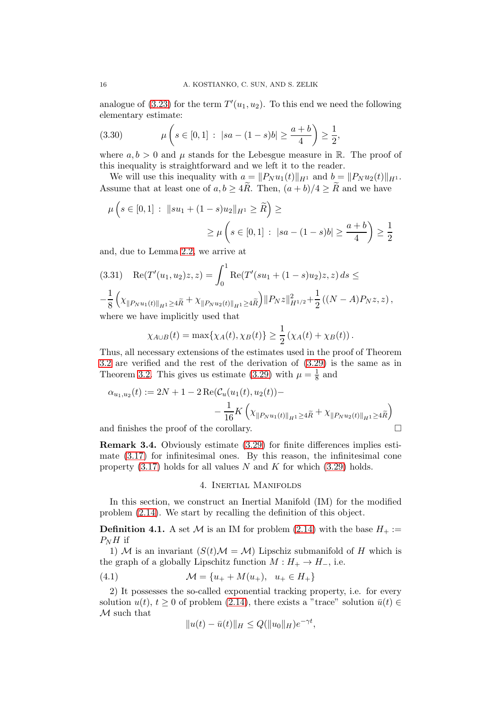analogue of [\(3.23\)](#page-13-2) for the term  $T'(u_1, u_2)$ . To this end we need the following elementary estimate:

(3.30) 
$$
\mu\left(s \in [0,1] : |sa - (1-s)b| \ge \frac{a+b}{4}\right) \ge \frac{1}{2},
$$

where  $a, b > 0$  and  $\mu$  stands for the Lebesgue measure in R. The proof of this inequality is straightforward and we left it to the reader.

We will use this inequality with  $a = ||P_N u_1(t)||_{H^1}$  and  $b = ||P_N u_2(t)||_{H^1}$ . Assume that at least one of  $a, b \geq 4R$ . Then,  $(a + b)/4 \geq R$  and we have

$$
\mu\left(s \in [0,1] : \|su_1 + (1-s)u_2\|_{H^1} \ge \widetilde{R}\right) \ge
$$
  

$$
\ge \mu\left(s \in [0,1] : |sa - (1-s)b| \ge \frac{a+b}{4}\right) \ge \frac{1}{2}
$$

and, due to Lemma [2.2,](#page-6-2) we arrive at

$$
(3.31) \quad \text{Re}(T'(u_1, u_2)z, z) = \int_0^1 \text{Re}(T'(su_1 + (1 - s)u_2)z, z) \, ds \le
$$
\n
$$
-\frac{1}{8} \left( \chi_{\|P_N u_1(t)\|_{H^1} \ge 4\tilde{R}} + \chi_{\|P_N u_2(t)\|_{H^1} \ge 4\tilde{R}} \right) \|P_N z\|_{H^{1/2}}^2 + \frac{1}{2} \left( (N - A)P_N z, z \right),
$$
\nwhere we have implicitly used that

where we have implicitly used that

$$
\chi_{A\cup B}(t) = \max\{\chi_A(t), \chi_B(t)\} \ge \frac{1}{2} \left(\chi_A(t) + \chi_B(t)\right).
$$

Thus, all necessary extensions of the estimates used in the proof of Theorem [3.2](#page-12-2) are verified and the rest of the derivation of [\(3.29\)](#page-14-0) is the same as in Theorem [3.2.](#page-12-2) This gives us estimate [\(3.29\)](#page-14-0) with  $\mu = \frac{1}{8}$  $\frac{1}{8}$  and

$$
\alpha_{u_1, u_2}(t) := 2N + 1 - 2 \operatorname{Re}(\mathcal{C}_u(u_1(t), u_2(t)) -
$$
  

$$
- \frac{1}{16} K \left( \chi_{\|P_N u_1(t)\|_{H^1} \ge 4\widetilde{R}} + \chi_{\|P_N u_2(t)\|_{H^1} \ge 4\widetilde{R}} \right)
$$

and finishes the proof of the corollary.

Remark 3.4. Obviously estimate [\(3.29\)](#page-14-0) for finite differences implies estimate [\(3.17\)](#page-12-1) for infinitesimal ones. By this reason, the infinitesimal cone property  $(3.17)$  holds for all values N and K for which  $(3.29)$  holds.

## 4. Inertial Manifolds

<span id="page-15-0"></span>In this section, we construct an Inertial Manifold (IM) for the modified problem [\(2.14\)](#page-7-1). We start by recalling the definition of this object.

**Definition 4.1.** A set M is an IM for problem [\(2.14\)](#page-7-1) with the base  $H_+ :=$  $P_NH$  if

1) M is an invariant  $(S(t)M = M)$  Lipschiz submanifold of H which is the graph of a globally Lipschitz function  $M : H_+ \to H_-,$  i.e.

(4.1) 
$$
\mathcal{M} = \{u_+ + M(u_+), u_+ \in H_+\}
$$

2) It possesses the so-called exponential tracking property, i.e. for every solution  $u(t)$ ,  $t > 0$  of problem [\(2.14\)](#page-7-1), there exists a "trace" solution  $\bar{u}(t) \in$ M such that

<span id="page-15-1"></span>
$$
||u(t) - \bar{u}(t)||_H \le Q(||u_0||_H)e^{-\gamma t},
$$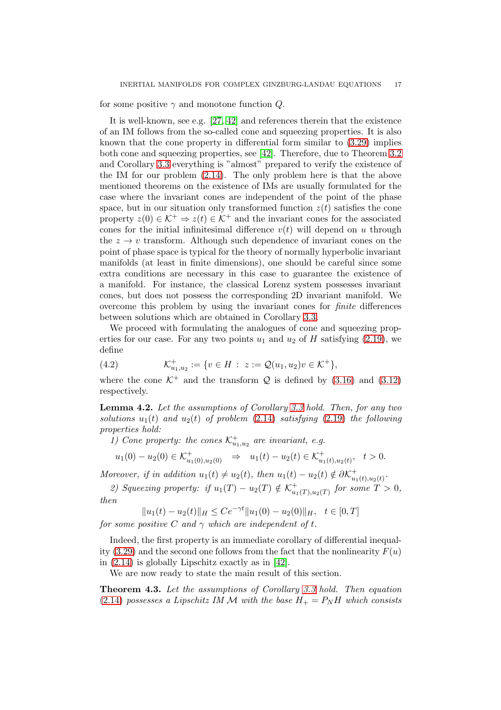for some positive  $\gamma$  and monotone function  $Q$ .

It is well-known, see e.g. [\[27,](#page-21-14) [42\]](#page-21-5) and references therein that the existence of an IM follows from the so-called cone and squeezing properties. It is also known that the cone property in differential form similar to [\(3.29\)](#page-14-0) implies both cone and squeezing properties, see [\[42\]](#page-21-5). Therefore, due to Theorem [3.2](#page-12-2) and Corollary [3.3](#page-14-1) everything is "almost" prepared to verify the existence of the IM for our problem [\(2.14\)](#page-7-1). The only problem here is that the above mentioned theorems on the existence of IMs are usually formulated for the case where the invariant cones are independent of the point of the phase space, but in our situation only transformed function  $z(t)$  satisfies the cone property  $z(0) \in \mathcal{K}^+ \Rightarrow z(t) \in \mathcal{K}^+$  and the invariant cones for the associated cones for the initial infinitesimal difference  $v(t)$  will depend on u through the  $z \to v$  transform. Although such dependence of invariant cones on the point of phase space is typical for the theory of normally hyperbolic invariant manifolds (at least in finite dimensions), one should be careful since some extra conditions are necessary in this case to guarantee the existence of a manifold. For instance, the classical Lorenz system possesses invariant cones, but does not possess the corresponding 2D invariant manifold. We overcome this problem by using the invariant cones for finite differences between solutions which are obtained in Corollary [3.3.](#page-14-1)

We proceed with formulating the analogues of cone and squeezing properties for our case. For any two points  $u_1$  and  $u_2$  of H satisfying [\(2.19\)](#page-8-0), we define

(4.2) 
$$
\mathcal{K}^+_{u_1,u_2} := \{ v \in H : z := \mathcal{Q}(u_1,u_2)v \in \mathcal{K}^+ \},
$$

where the cone  $K^+$  and the transform Q is defined by [\(3.16\)](#page-12-3) and [\(3.12\)](#page-11-4) respectively.

Lemma 4.2. Let the assumptions of Corollary [3.3](#page-14-1) hold. Then, for any two solutions  $u_1(t)$  and  $u_2(t)$  of problem [\(2.14\)](#page-7-1) satisfying [\(2.19\)](#page-8-0) the following properties hold:

1) Cone property: the cones  $\mathcal{K}^+_{u_1,u_2}$  are invariant, e.g.

 $u_1(0) - u_2(0) \in \mathcal{K}^+_{u_1(0), u_2(0)} \Rightarrow u_1(t) - u_2(t) \in \mathcal{K}^+_{u_1(t), u_2(t)}, \quad t > 0.$ 

Moreover, if in addition  $u_1(t) \neq u_2(t)$ , then  $u_1(t) - u_2(t) \notin \partial \mathcal{K}_{u_1}^+$  $_{u_1(t),u_2(t)}^{+}.$ 

2) Squeezing property: if  $u_1(T) - u_2(T) \notin \mathcal{K}_{u_1}^+$  $_{u_1(T), u_2(T)}^{+}$  for some  $T > 0$ , then

 $||u_1(t) - u_2(t)||_H \le Ce^{-\gamma t} ||u_1(0) - u_2(0)||_H, \quad t \in [0, T]$ 

for some positive C and  $\gamma$  which are independent of t.

Indeed, the first property is an immediate corollary of differential inequal-ity [\(3.29\)](#page-14-0) and the second one follows from the fact that the nonlinearity  $F(u)$ in [\(2.14\)](#page-7-1) is globally Lipschitz exactly as in [\[42\]](#page-21-5).

We are now ready to state the main result of this section.

<span id="page-16-0"></span>Theorem 4.3. Let the assumptions of Corollary [3.3](#page-14-1) hold. Then equation [\(2.14\)](#page-7-1) possesses a Lipschitz IM M with the base  $H_+ = P_N H$  which consists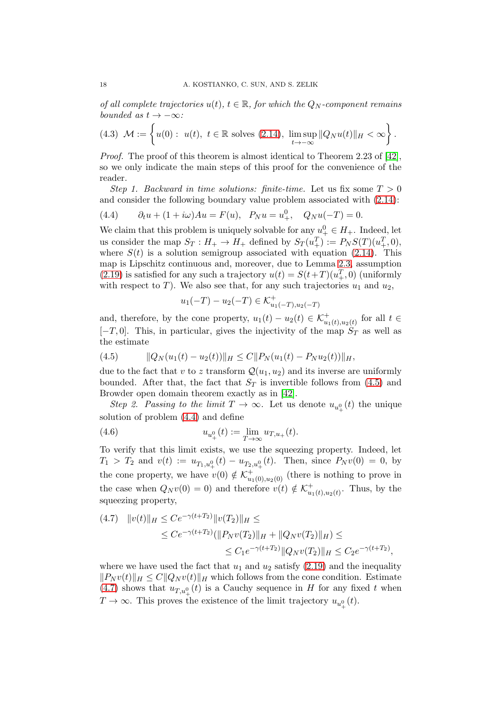of all complete trajectories  $u(t)$ ,  $t \in \mathbb{R}$ , for which the  $Q_N$ -component remains bounded as  $t \to -\infty$ :

<span id="page-17-3"></span>
$$
(4.3) \mathcal{M} := \left\{ u(0): u(t), t \in \mathbb{R} \text{ solves } (2.14), \limsup_{t \to -\infty} ||Q_N u(t)||_H < \infty \right\}.
$$

Proof. The proof of this theorem is almost identical to Theorem 2.23 of [\[42\]](#page-21-5), so we only indicate the main steps of this proof for the convenience of the reader.

Step 1. Backward in time solutions: finite-time. Let us fix some  $T > 0$ and consider the following boundary value problem associated with [\(2.14\)](#page-7-1):

<span id="page-17-1"></span>(4.4) 
$$
\partial_t u + (1 + i\omega)Au = F(u), \quad P_N u = u^0_+, \quad Q_N u(-T) = 0.
$$

We claim that this problem is uniquely solvable for any  $u_+^0 \in H_+$ . Indeed, let us consider the map  $S_T: H_+ \to H_+$  defined by  $S_T(u^T_+) := P_N S(T)(u^T_+, 0),$ where  $S(t)$  is a solution semigroup associated with equation [\(2.14\)](#page-7-1). This map is Lipschitz continuous and, moreover, due to Lemma [2.3,](#page-7-6) assumption  $(2.19)$  is satisfied for any such a trajectory  $u(t) = S(t+T)(u_+^T, 0)$  (uniformly with respect to T). We also see that, for any such trajectories  $u_1$  and  $u_2$ ,

$$
u_1(-T) - u_2(-T) \in \mathcal{K}^+_{u_1(-T), u_2(-T)}
$$

and, therefore, by the cone property,  $u_1(t) - u_2(t) \in \mathcal{K}^+_{u_1(t), u_2(t)}$  for all  $t \in$  $[-T, 0]$ . This, in particular, gives the injectivity of the map  $S_T$  as well as the estimate

<span id="page-17-0"></span>
$$
(4.5) \t\t ||Q_N(u_1(t) - u_2(t))||_H \leq C||P_N(u_1(t) - P_Nu_2(t))||_H,
$$

due to the fact that v to z transform  $\mathcal{Q}(u_1, u_2)$  and its inverse are uniformly bounded. After that, the fact that  $S_T$  is invertible follows from [\(4.5\)](#page-17-0) and Browder open domain theorem exactly as in [\[42\]](#page-21-5).

Step 2. Passing to the limit  $T \to \infty$ . Let us denote  $u_{u^0_+}(t)$  the unique solution of problem [\(4.4\)](#page-17-1) and define

(4.6) 
$$
u_{u_+^0}(t) := \lim_{T \to \infty} u_{T,u_+}(t).
$$

To verify that this limit exists, we use the squeezing property. Indeed, let  $T_1 > T_2$  and  $v(t) := u_{T_1,u^0_+}(t) - u_{T_2,u^0_+}(t)$ . Then, since  $P_N v(0) = 0$ , by the cone property, we have  $v(0) \notin \mathcal{K}^+_{u_1(0), u_2(0)}$  (there is nothing to prove in the case when  $Q_N v(0) = 0$ ) and therefore  $v(t) \notin \mathcal{K}_{u_1}^+$  $_{u_1(t),u_2(t)}^+$ . Thus, by the squeezing property,

<span id="page-17-2"></span>
$$
(4.7) \quad ||v(t)||_H \leq Ce^{-\gamma(t+T_2)} ||v(T_2)||_H \leq
$$
  
\n
$$
\leq Ce^{-\gamma(t+T_2)} (||P_N v(T_2)||_H + ||Q_N v(T_2)||_H) \leq
$$
  
\n
$$
\leq C_1 e^{-\gamma(t+T_2)} ||Q_N v(T_2)||_H \leq C_2 e^{-\gamma(t+T_2)},
$$

where we have used the fact that  $u_1$  and  $u_2$  satisfy [\(2.19\)](#page-8-0) and the inequality  $||P_N v(t)||_H \leq C||Q_N v(t)||_H$  which follows from the cone condition. Estimate [\(4.7\)](#page-17-2) shows that  $u_{T,u^0_+}(t)$  is a Cauchy sequence in H for any fixed t when  $T \to \infty$ . This proves the existence of the limit trajectory  $u_{u^0_+}(t)$ .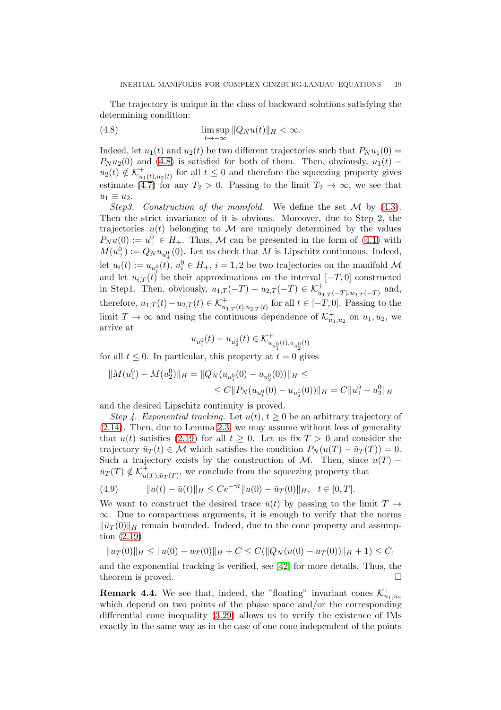The trajectory is unique in the class of backward solutions satisfying the determining condition:

<span id="page-18-0"></span>(4.8) 
$$
\limsup_{t \to -\infty} ||Q_N u(t)||_H < \infty.
$$

Indeed, let  $u_1(t)$  and  $u_2(t)$  be two different trajectories such that  $P_N u_1(0) =$  $P_N u_2(0)$  and [\(4.8\)](#page-18-0) is satisfied for both of them. Then, obviously,  $u_1(t)$  −  $u_2(t) \notin \mathcal{K}_u^+$  $_{u_1(t),u_2(t)}^+$  for all  $t \leq 0$  and therefore the squeezing property gives estimate [\(4.7\)](#page-17-2) for any  $T_2 > 0$ . Passing to the limit  $T_2 \to \infty$ , we see that  $u_1 \equiv u_2$ .

Step3. Construction of the manifold. We define the set  $\mathcal M$  by [\(4.3\)](#page-17-3). Then the strict invariance of it is obvious. Moreover, due to Step 2, the trajectories  $u(t)$  belonging to M are uniquely determined by the values  $P_N u(0) := u^0_+ \in H_+$ . Thus, M can be presented in the form of [\(4.1\)](#page-15-1) with  $M(u^0_+) := Q_N u_{u^0_+}(0)$ . Let us check that M is Lipschitz continuous. Indeed, let  $u_i(t) := u_{u_i^0}(t), u_i^0 \in H_+, i = 1, 2$  be two trajectories on the manifold  $\mathcal M$ and let  $u_{i,T}(t)$  be their approximations on the interval  $[-T,0]$  constructed in Step1. Then, obviously,  $u_{1,T}(-T) - u_{2,T}(-T) \in \mathcal{K}^+_{u_{1,T}(-T), u_{2,T}(-T)}$  and, therefore,  $u_{1,T}(t) - u_{2,T}(t) \in \mathcal{K}^+_{u_{1,T}(t),u_{2,T}(t)}$  for all  $t \in [-T,0]$ . Passing to the limit  $T \to \infty$  and using the continuous dependence of  $\mathcal{K}^+_{u_1, u_2}$  on  $u_1, u_2$ , we arrive at

$$
u_{u_1^0}(t)-u_{u_2^0}(t)\in\mathcal{K}^+_{u_{u_1^0}(t),u_{u_2^0}(t)}
$$

for all  $t \leq 0$ . In particular, this property at  $t = 0$  gives

$$
||M(u_1^0) - M(u_2^0)||_H = ||Q_N(u_{u_1^0}(0) - u_{u_2^0}(0))||_H \le
$$
  

$$
\le C||P_N(u_{u_1^0}(0) - u_{u_2^0}(0))||_H = C||u_1^0 - u_2^0||_H
$$

and the desired Lipschitz continuity is proved.

Step 4. Exponential tracking. Let  $u(t)$ ,  $t \geq 0$  be an arbitrary trajectory of [\(2.14\)](#page-7-1). Then, due to Lemma [2.3,](#page-7-6) we may assume without loss of generality that  $u(t)$  satisfies [\(2.19\)](#page-8-0) for all  $t \geq 0$ . Let us fix  $T > 0$  and consider the trajectory  $\bar{u}_T(t) \in \mathcal{M}$  which satisfies the condition  $P_N(u(T) - \bar{u}_T(T)) = 0$ . Such a trajectory exists by the construction of M. Then, since  $u(T)$  –  $\bar{u}_T(T) \notin \mathcal{K}_{u}^+$  $_{u(T),\bar{u}_T(T)}^+$ , we conclude from the squeezing property that

(4.9) 
$$
||u(t) - \bar{u}(t)||_H \leq Ce^{-\gamma t} ||u(0) - \bar{u}_T(0)||_H, \quad t \in [0, T].
$$

We want to construct the desired trace  $\bar{u}(t)$  by passing to the limit  $T \rightarrow$  $\infty$ . Due to compactness arguments, it is enough to verify that the norms  $\|\bar{u}_T(0)\|_H$  remain bounded. Indeed, due to the cone property and assumption [\(2.19\)](#page-8-0)

$$
||u_T(0)||_H \le ||u(0) - u_T(0)||_H + C \le C(||Q_N(u(0) - u_T(0))||_H + 1) \le C_1
$$

and the exponential tracking is verified, see [\[42\]](#page-21-5) for more details. Thus, the theorem is proved.

**Remark 4.4.** We see that, indeed, the "floating" invariant cones  $\mathcal{K}^+_{u_1, u_2}$ which depend on two points of the phase space and/or the corresponding differential cone inequality [\(3.29\)](#page-14-0) allows us to verify the existence of IMs exactly in the same way as in the case of one cone independent of the points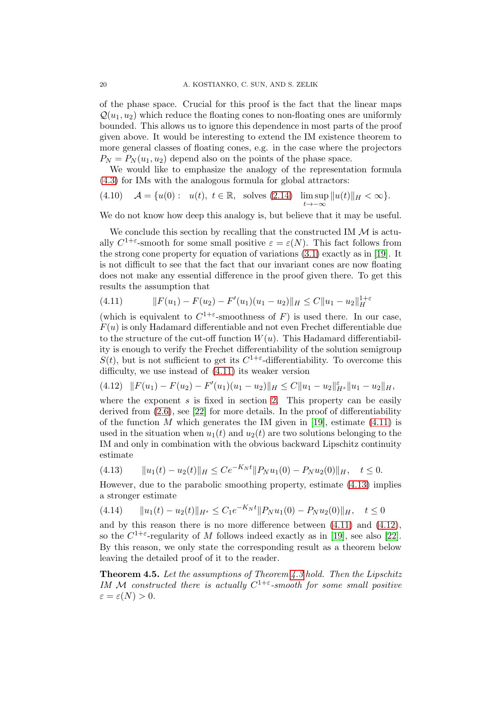of the phase space. Crucial for this proof is the fact that the linear maps  $\mathcal{Q}(u_1, u_2)$  which reduce the floating cones to non-floating ones are uniformly bounded. This allows us to ignore this dependence in most parts of the proof given above. It would be interesting to extend the IM existence theorem to more general classes of floating cones, e.g. in the case where the projectors  $P_N = P_N(u_1, u_2)$  depend also on the points of the phase space.

We would like to emphasize the analogy of the representation formula [\(4.3\)](#page-17-3) for IMs with the analogous formula for global attractors:

(4.10) 
$$
\mathcal{A} = \{u(0): u(t), t \in \mathbb{R}, \text{ solves (2.14)} \limsup_{t \to -\infty} ||u(t)||_H < \infty\}.
$$

We do not know how deep this analogy is, but believe that it may be useful.

We conclude this section by recalling that the constructed IM  $\mathcal M$  is actually  $C^{1+\varepsilon}$ -smooth for some small positive  $\varepsilon = \varepsilon(N)$ . This fact follows from the strong cone property for equation of variations [\(3.1\)](#page-10-1) exactly as in [\[19\]](#page-20-15). It is not difficult to see that the fact that our invariant cones are now floating does not make any essential difference in the proof given there. To get this results the assumption that

<span id="page-19-0"></span>
$$
(4.11) \t\t\t ||F(u_1) - F(u_2) - F'(u_1)(u_1 - u_2)||_H \le C||u_1 - u_2||_H^{1+\varepsilon}
$$

(which is equivalent to  $C^{1+\varepsilon}$ -smoothness of F) is used there. In our case,  $F(u)$  is only Hadamard differentiable and not even Frechet differentiable due to the structure of the cut-off function  $W(u)$ . This Hadamard differentiability is enough to verify the Frechet differentiability of the solution semigroup  $S(t)$ , but is not sufficient to get its  $C^{1+\varepsilon}$ -differentiability. To overcome this difficulty, we use instead of [\(4.11\)](#page-19-0) its weaker version

<span id="page-19-2"></span>
$$
(4.12)\quad ||F(u_1)-F(u_2)-F'(u_1)(u_1-u_2)||_H\leq C||u_1-u_2||_{H^s}^{\varepsilon}||u_1-u_2||_H,
$$

where the exponent  $s$  is fixed in section [2.](#page-4-0) This property can be easily derived from  $(2.6)$ , see [\[22\]](#page-20-18) for more details. In the proof of differentiability of the function M which generates the IM given in [\[19\]](#page-20-15), estimate  $(4.11)$  is used in the situation when  $u_1(t)$  and  $u_2(t)$  are two solutions belonging to the IM and only in combination with the obvious backward Lipschitz continuity estimate

<span id="page-19-1"></span>
$$
(4.13) \t\t ||u_1(t) - u_2(t)||_H \le Ce^{-K_N t} ||P_N u_1(0) - P_N u_2(0)||_H, \quad t \le 0.
$$

However, due to the parabolic smoothing property, estimate [\(4.13\)](#page-19-1) implies a stronger estimate

$$
(4.14) \t\t ||u_1(t) - u_2(t)||_{H^s} \le C_1 e^{-K_N t} ||P_N u_1(0) - P_N u_2(0)||_H, \quad t \le 0
$$

and by this reason there is no more difference between [\(4.11\)](#page-19-0) and [\(4.12\)](#page-19-2), so the  $C^{1+\epsilon}$ -regularity of M follows indeed exactly as in [\[19\]](#page-20-15), see also [\[22\]](#page-20-18). By this reason, we only state the corresponding result as a theorem below leaving the detailed proof of it to the reader.

Theorem 4.5. Let the assumptions of Theorem [4.3](#page-16-0) hold. Then the Lipschitz IM M constructed there is actually  $C^{1+\varepsilon}$ -smooth for some small positive  $\varepsilon = \varepsilon(N) > 0.$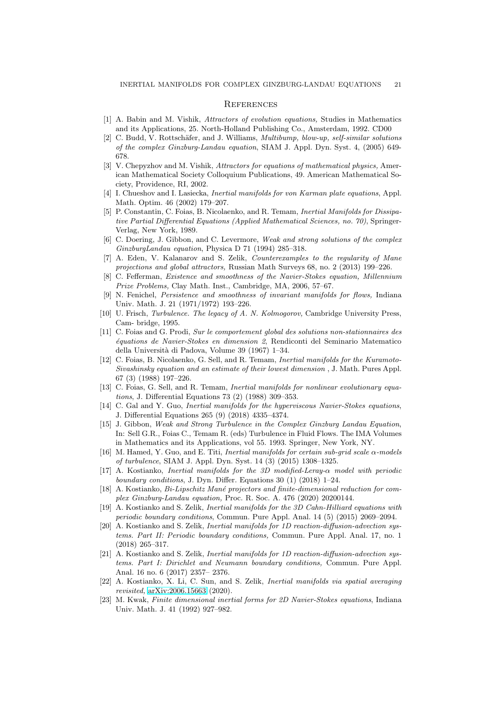#### <span id="page-20-1"></span>**REFERENCES**

- <span id="page-20-22"></span><span id="page-20-2"></span>[1] A. Babin and M. Vishik, Attractors of evolution equations, Studies in Mathematics and its Applications, 25. North-Holland Publishing Co., Amsterdam, 1992. CD00
- [2] C. Budd, V. Rottschäfer, and J. Williams, *Multibump, blow-up, self-similar solutions* of the complex Ginzburg-Landau equation, SIAM J. Appl. Dyn. Syst. 4, (2005) 649- 678.
- <span id="page-20-3"></span>[3] V. Chepyzhov and M. Vishik, Attractors for equations of mathematical physics, American Mathematical Society Colloquium Publications, 49. American Mathematical Society, Providence, RI, 2002.
- <span id="page-20-10"></span>[4] I. Chueshov and I. Lasiecka, Inertial manifolds for von Karman plate equations, Appl. Math. Optim. 46 (2002) 179–207.
- <span id="page-20-11"></span>[5] P. Constantin, C. Foias, B. Nicolaenko, and R. Temam, Inertial Manifolds for Dissipative Partial Differential Equations (Applied Mathematical Sciences, no. 70), Springer-Verlag, New York, 1989.
- <span id="page-20-21"></span>[6] C. Doering, J. Gibbon, and C. Levermore, Weak and strong solutions of the complex GinzburgLandau equation, Physica D 71 (1994) 285–318.
- <span id="page-20-7"></span>[7] A. Eden, V. Kalanarov and S. Zelik, Counterexamples to the regularity of Mane projections and global attractors, Russian Math Surveys 68, no. 2 (2013) 199–226.
- <span id="page-20-4"></span>[8] C. Fefferman, Existence and smoothness of the Navier-Stokes equation, Millennium Prize Problems, Clay Math. Inst., Cambridge, MA, 2006, 57–67.
- <span id="page-20-13"></span>[9] N. Fenichel, Persistence and smoothness of invariant manifolds for flows, Indiana Univ. Math. J. 21 (1971/1972) 193–226.
- <span id="page-20-6"></span>[10] U. Frisch, Turbulence. The legacy of A. N. Kolmogorov, Cambridge University Press, Cam- bridge, 1995.
- <span id="page-20-5"></span>[11] C. Foias and G. Prodi, Sur le comportement global des solutions non-stationnaires des ´equations de Navier-Stokes en dimension 2, Rendiconti del Seminario Matematico della Universit`a di Padova, Volume 39 (1967) 1–34.
- <span id="page-20-12"></span>[12] C. Foias, B. Nicolaenko, G. Sell, and R. Temam, Inertial manifolds for the Kuramoto-Sivashinsky equation and an estimate of their lowest dimension , J. Math. Pures Appl. 67 (3) (1988) 197–226.
- <span id="page-20-9"></span>[13] C. Foias, G. Sell, and R. Temam, *Inertial manifolds for nonlinear evolutionary equa*tions, J. Differential Equations 73 (2) (1988) 309–353.
- <span id="page-20-17"></span>[14] C. Gal and Y. Guo, *Inertial manifolds for the hyperviscous Navier-Stokes equations*, J. Differential Equations 265 (9) (2018) 4335–4374.
- <span id="page-20-23"></span>[15] J. Gibbon, Weak and Strong Turbulence in the Complex Ginzburg Landau Equation, In: Sell G.R., Foias C., Temam R. (eds) Turbulence in Fluid Flows. The IMA Volumes in Mathematics and its Applications, vol 55. 1993. Springer, New York, NY.
- <span id="page-20-14"></span>[16] M. Hamed, Y. Guo, and E. Titi, Inertial manifolds for certain sub-grid scale  $\alpha$ -models of turbulence, SIAM J. Appl. Dyn. Syst. 14 (3) (2015) 1308–1325.
- <span id="page-20-16"></span>[17] A. Kostianko, Inertial manifolds for the 3D modified-Leray-α model with periodic boundary conditions, J. Dyn. Differ. Equations 30 (1) (2018) 1–24.
- <span id="page-20-0"></span>[18] A. Kostianko,  $Bi\text{-}Lipschitz$  Mané projectors and finite-dimensional reduction for complex Ginzburg-Landau equation, Proc. R. Soc. A. 476 (2020) 20200144.
- <span id="page-20-15"></span>[19] A. Kostianko and S. Zelik, Inertial manifolds for the 3D Cahn-Hilliard equations with periodic boundary conditions, Commun. Pure Appl. Anal. 14 (5) (2015) 2069–2094.
- <span id="page-20-8"></span>[20] A. Kostianko and S. Zelik, Inertial manifolds for 1D reaction-diffusion-advection systems. Part II: Periodic boundary conditions, Commun. Pure Appl. Anal. 17, no. 1 (2018) 265–317.
- <span id="page-20-20"></span>[21] A. Kostianko and S. Zelik, *Inertial manifolds for 1D reaction-diffusion-advection sys*tems. Part I: Dirichlet and Neumann boundary conditions, Commun. Pure Appl. Anal. 16 no. 6 (2017) 2357– 2376.
- <span id="page-20-18"></span>[22] A. Kostianko, X. Li, C. Sun, and S. Zelik, Inertial manifolds via spatial averaging revisited, [arXiv:2006.15663](http://arxiv.org/abs/2006.15663) (2020).
- <span id="page-20-19"></span>[23] M. Kwak, Finite dimensional inertial forms for 2D Navier-Stokes equations, Indiana Univ. Math. J. 41 (1992) 927–982.